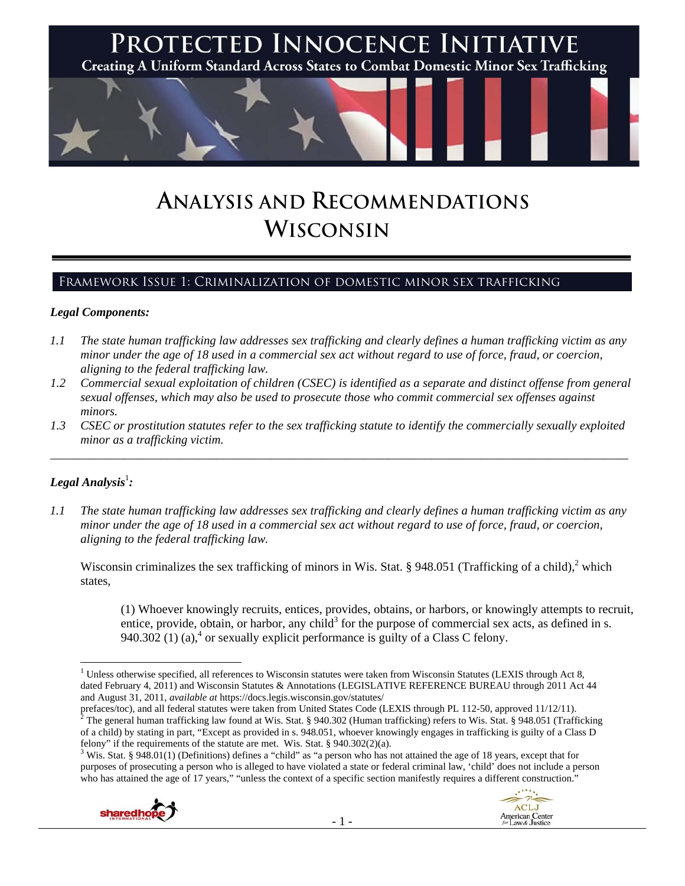

# **ANALYSIS AND RECOMMENDATIONS WISCONSIN**

# Framework Issue 1: Criminalization of domestic minor sex trafficking

#### *Legal Components:*

- *1.1 The state human trafficking law addresses sex trafficking and clearly defines a human trafficking victim as any minor under the age of 18 used in a commercial sex act without regard to use of force, fraud, or coercion, aligning to the federal trafficking law.*
- *1.2 Commercial sexual exploitation of children (CSEC) is identified as a separate and distinct offense from general sexual offenses, which may also be used to prosecute those who commit commercial sex offenses against minors.*
- *1.3 CSEC or prostitution statutes refer to the sex trafficking statute to identify the commercially sexually exploited minor as a trafficking victim.*  \_\_\_\_\_\_\_\_\_\_\_\_\_\_\_\_\_\_\_\_\_\_\_\_\_\_\_\_\_\_\_\_\_\_\_\_\_\_\_\_\_\_\_\_\_\_\_\_\_\_\_\_\_\_\_\_\_\_\_\_\_\_\_\_\_\_\_\_\_\_\_\_\_\_\_\_\_\_\_\_\_\_\_\_\_\_\_\_\_\_\_\_\_\_

# $\bm{\mathit{Legal\, Analysis^{\text{!}}:}}$

*1.1 The state human trafficking law addresses sex trafficking and clearly defines a human trafficking victim as any minor under the age of 18 used in a commercial sex act without regard to use of force, fraud, or coercion, aligning to the federal trafficking law.* 

Wisconsin criminalizes the sex trafficking of minors in Wis. Stat. § 948.051 (Trafficking of a child), $2$  which states,

(1) Whoever knowingly recruits, entices, provides, obtains, or harbors, or knowingly attempts to recruit, entice, provide, obtain, or harbor, any child<sup>3</sup> for the purpose of commercial sex acts, as defined in s. 940.302 (1) (a),<sup>4</sup> or sexually explicit performance is guilty of a Class C felony.

prefaces/toc), and all federal statutes were taken from United States Code (LEXIS through PL 112-50, approved 11/12/11). The general human trafficking law found at Wis. Stat. § 940.302 (Human trafficking) refers to Wis. Stat. § 948.051 (Trafficking of a child) by stating in part, "Except as provided in s. 948.051, whoever knowingly engages in trafficking is guilty of a Class D felony" if the requirements of the statute are met. Wis. Stat.  $\S$  940.302(2)(a).

 $3$  Wis. Stat. § 948.01(1) (Definitions) defines a "child" as "a person who has not attained the age of 18 years, except that for purposes of prosecuting a person who is alleged to have violated a state or federal criminal law, 'child' does not include a person who has attained the age of 17 years," "unless the context of a specific section manifestly requires a different construction."



<sup>&</sup>lt;sup>1</sup> Unless otherwise specified, all references to Wisconsin statutes were taken from Wisconsin Statutes (LEXIS through Act 8, dated February 4, 2011) and Wisconsin Statutes & Annotations (LEGISLATIVE REFERENCE BUREAU through 2011 Act 44 and August 31, 2011, *available at* https://docs.legis.wisconsin.gov/statutes/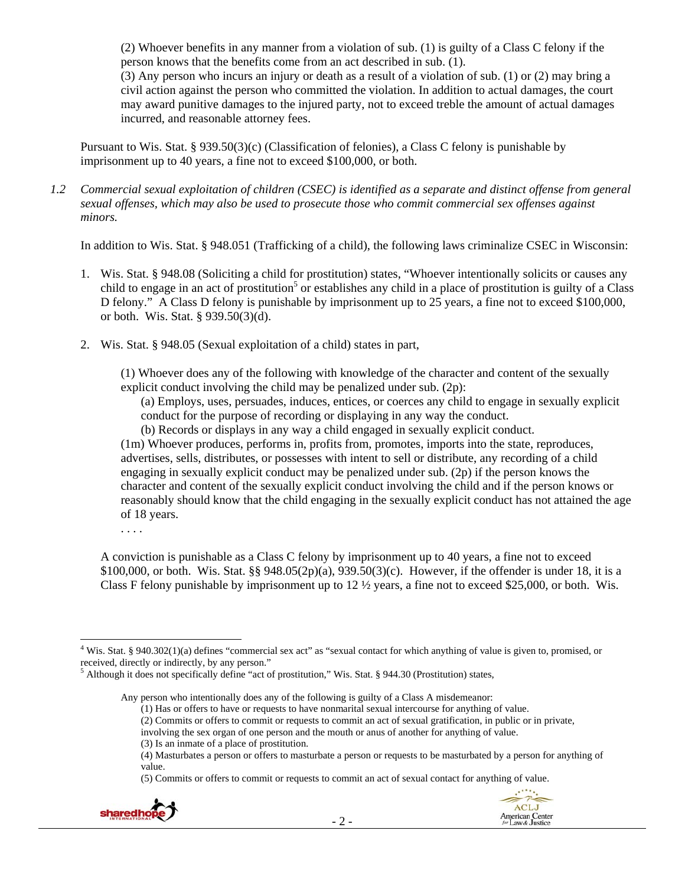(2) Whoever benefits in any manner from a violation of sub. (1) is guilty of a Class C felony if the person knows that the benefits come from an act described in sub. (1).

(3) Any person who incurs an injury or death as a result of a violation of sub. (1) or (2) may bring a civil action against the person who committed the violation. In addition to actual damages, the court may award punitive damages to the injured party, not to exceed treble the amount of actual damages incurred, and reasonable attorney fees.

Pursuant to Wis. Stat. § 939.50(3)(c) (Classification of felonies), a Class C felony is punishable by imprisonment up to 40 years, a fine not to exceed \$100,000, or both.

*1.2 Commercial sexual exploitation of children (CSEC) is identified as a separate and distinct offense from general sexual offenses, which may also be used to prosecute those who commit commercial sex offenses against minors.* 

In addition to Wis. Stat. § 948.051 (Trafficking of a child), the following laws criminalize CSEC in Wisconsin:

- 1. Wis. Stat. § 948.08 (Soliciting a child for prostitution) states, "Whoever intentionally solicits or causes any child to engage in an act of prostitution<sup>5</sup> or establishes any child in a place of prostitution is guilty of a Class D felony." A Class D felony is punishable by imprisonment up to 25 years, a fine not to exceed \$100,000, or both. Wis. Stat. § 939.50(3)(d).
- 2. Wis. Stat. § 948.05 (Sexual exploitation of a child) states in part,

(1) Whoever does any of the following with knowledge of the character and content of the sexually explicit conduct involving the child may be penalized under sub. (2p):

(a) Employs, uses, persuades, induces, entices, or coerces any child to engage in sexually explicit conduct for the purpose of recording or displaying in any way the conduct.

(b) Records or displays in any way a child engaged in sexually explicit conduct.

(1m) Whoever produces, performs in, profits from, promotes, imports into the state, reproduces, advertises, sells, distributes, or possesses with intent to sell or distribute, any recording of a child engaging in sexually explicit conduct may be penalized under sub. (2p) if the person knows the character and content of the sexually explicit conduct involving the child and if the person knows or reasonably should know that the child engaging in the sexually explicit conduct has not attained the age of 18 years.

. . . .

A conviction is punishable as a Class C felony by imprisonment up to 40 years, a fine not to exceed \$100,000, or both. Wis. Stat. §§ 948.05(2p)(a), 939.50(3)(c). However, if the offender is under 18, it is a Class F felony punishable by imprisonment up to  $12 \frac{1}{2}$  years, a fine not to exceed \$25,000, or both. Wis.

<sup>(5)</sup> Commits or offers to commit or requests to commit an act of sexual contact for anything of value.



 <sup>4</sup> Wis. Stat. § 940.302(1)(a) defines "commercial sex act" as "sexual contact for which anything of value is given to, promised, or received, directly or indirectly, by any person."

<sup>&</sup>lt;sup>5</sup> Although it does not specifically define "act of prostitution," Wis. Stat. § 944.30 (Prostitution) states,

Any person who intentionally does any of the following is guilty of a Class A misdemeanor:

<sup>(1)</sup> Has or offers to have or requests to have nonmarital sexual intercourse for anything of value.

<sup>(2)</sup> Commits or offers to commit or requests to commit an act of sexual gratification, in public or in private,

involving the sex organ of one person and the mouth or anus of another for anything of value.

<sup>(3)</sup> Is an inmate of a place of prostitution.

<sup>(4)</sup> Masturbates a person or offers to masturbate a person or requests to be masturbated by a person for anything of value.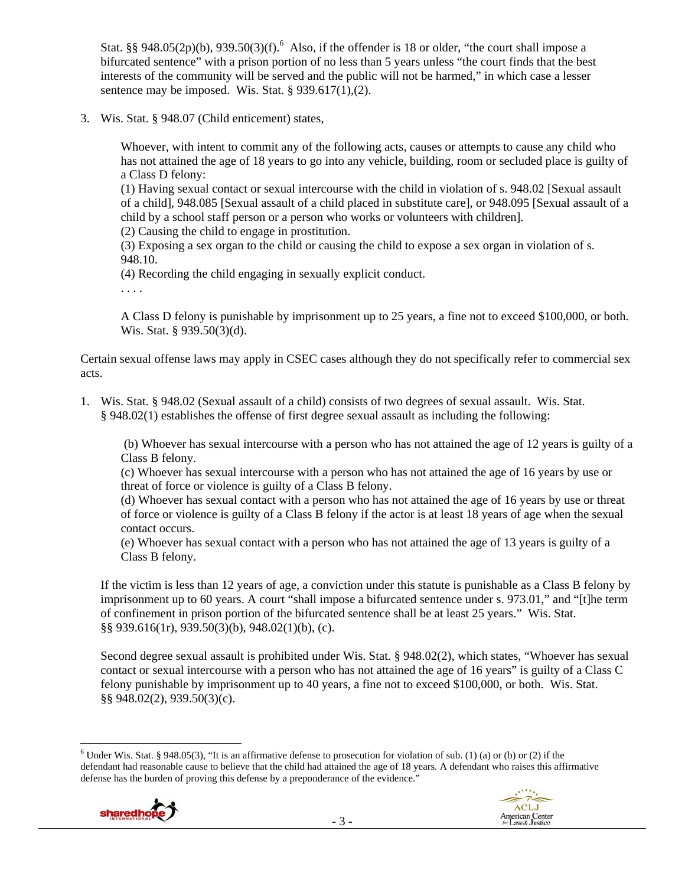Stat. §§ 948.05(2p)(b), 939.50(3)(f).<sup>6</sup> Also, if the offender is 18 or older, "the court shall impose a bifurcated sentence" with a prison portion of no less than 5 years unless "the court finds that the best interests of the community will be served and the public will not be harmed," in which case a lesser sentence may be imposed. Wis. Stat.  $\S 939.617(1)$ , (2).

3. Wis. Stat. § 948.07 (Child enticement) states,

Whoever, with intent to commit any of the following acts, causes or attempts to cause any child who has not attained the age of 18 years to go into any vehicle, building, room or secluded place is guilty of a Class D felony:

(1) Having sexual contact or sexual intercourse with the child in violation of s. 948.02 [Sexual assault of a child], 948.085 [Sexual assault of a child placed in substitute care], or 948.095 [Sexual assault of a child by a school staff person or a person who works or volunteers with children].

(2) Causing the child to engage in prostitution.

(3) Exposing a sex organ to the child or causing the child to expose a sex organ in violation of s. 948.10.

(4) Recording the child engaging in sexually explicit conduct.

. . . .

A Class D felony is punishable by imprisonment up to 25 years, a fine not to exceed \$100,000, or both. Wis. Stat. § 939.50(3)(d).

Certain sexual offense laws may apply in CSEC cases although they do not specifically refer to commercial sex acts.

1. Wis. Stat. § 948.02 (Sexual assault of a child) consists of two degrees of sexual assault. Wis. Stat. § 948.02(1) establishes the offense of first degree sexual assault as including the following:

 (b) Whoever has sexual intercourse with a person who has not attained the age of 12 years is guilty of a Class B felony.

(c) Whoever has sexual intercourse with a person who has not attained the age of 16 years by use or threat of force or violence is guilty of a Class B felony.

(d) Whoever has sexual contact with a person who has not attained the age of 16 years by use or threat of force or violence is guilty of a Class B felony if the actor is at least 18 years of age when the sexual contact occurs.

(e) Whoever has sexual contact with a person who has not attained the age of 13 years is guilty of a Class B felony.

If the victim is less than 12 years of age, a conviction under this statute is punishable as a Class B felony by imprisonment up to 60 years. A court "shall impose a bifurcated sentence under s. 973.01," and "[t]he term of confinement in prison portion of the bifurcated sentence shall be at least 25 years." Wis. Stat. §§ 939.616(1r), 939.50(3)(b), 948.02(1)(b), (c).

Second degree sexual assault is prohibited under Wis. Stat. § 948.02(2), which states, "Whoever has sexual contact or sexual intercourse with a person who has not attained the age of 16 years" is guilty of a Class C felony punishable by imprisonment up to 40 years, a fine not to exceed \$100,000, or both. Wis. Stat. §§ 948.02(2), 939.50(3)(c).

 <sup>6</sup> Under Wis. Stat. § 948.05(3), "It is an affirmative defense to prosecution for violation of sub. (1) (a) or (b) or (2) if the defendant had reasonable cause to believe that the child had attained the age of 18 years. A defendant who raises this affirmative defense has the burden of proving this defense by a preponderance of the evidence."



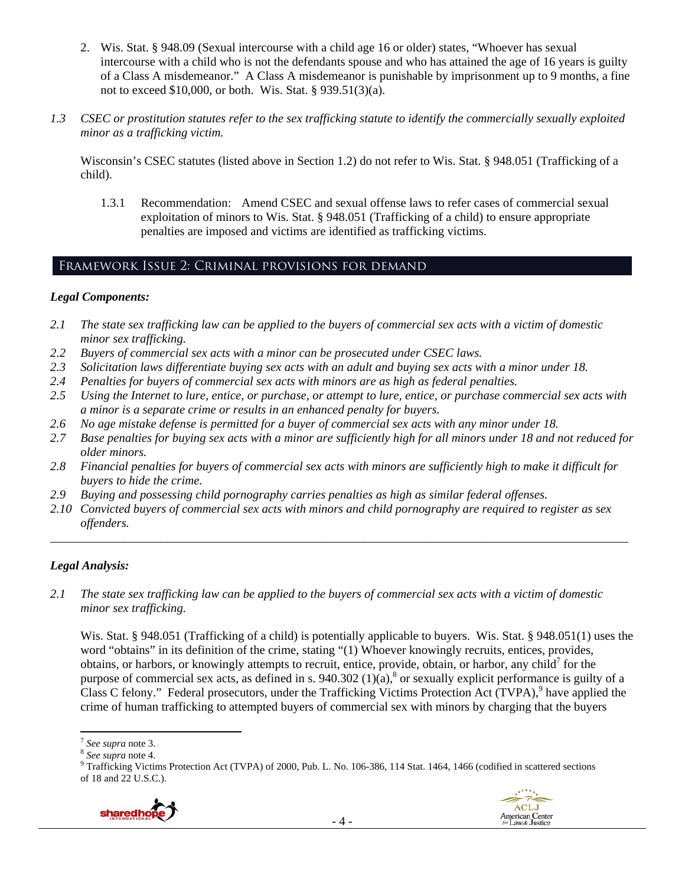- 2. Wis. Stat. § 948.09 (Sexual intercourse with a child age 16 or older) states, "Whoever has sexual intercourse with a child who is not the defendants spouse and who has attained the age of 16 years is guilty of a Class A misdemeanor." A Class A misdemeanor is punishable by imprisonment up to 9 months, a fine not to exceed \$10,000, or both. Wis. Stat. § 939.51(3)(a).
- *1.3 CSEC or prostitution statutes refer to the sex trafficking statute to identify the commercially sexually exploited minor as a trafficking victim.*

Wisconsin's CSEC statutes (listed above in Section 1.2) do not refer to Wis. Stat. § 948.051 (Trafficking of a child).

1.3.1 Recommendation: Amend CSEC and sexual offense laws to refer cases of commercial sexual exploitation of minors to Wis. Stat. § 948.051 (Trafficking of a child) to ensure appropriate penalties are imposed and victims are identified as trafficking victims.

# Framework Issue 2: Criminal provisions for demand

#### *Legal Components:*

- *2.1 The state sex trafficking law can be applied to the buyers of commercial sex acts with a victim of domestic minor sex trafficking.*
- *2.2 Buyers of commercial sex acts with a minor can be prosecuted under CSEC laws.*
- *2.3 Solicitation laws differentiate buying sex acts with an adult and buying sex acts with a minor under 18.*
- *2.4 Penalties for buyers of commercial sex acts with minors are as high as federal penalties.*
- *2.5 Using the Internet to lure, entice, or purchase, or attempt to lure, entice, or purchase commercial sex acts with a minor is a separate crime or results in an enhanced penalty for buyers.*
- *2.6 No age mistake defense is permitted for a buyer of commercial sex acts with any minor under 18.*
- *2.7 Base penalties for buying sex acts with a minor are sufficiently high for all minors under 18 and not reduced for older minors.*
- *2.8 Financial penalties for buyers of commercial sex acts with minors are sufficiently high to make it difficult for buyers to hide the crime.*
- *2.9 Buying and possessing child pornography carries penalties as high as similar federal offenses.*
- *2.10 Convicted buyers of commercial sex acts with minors and child pornography are required to register as sex offenders.*

\_\_\_\_\_\_\_\_\_\_\_\_\_\_\_\_\_\_\_\_\_\_\_\_\_\_\_\_\_\_\_\_\_\_\_\_\_\_\_\_\_\_\_\_\_\_\_\_\_\_\_\_\_\_\_\_\_\_\_\_\_\_\_\_\_\_\_\_\_\_\_\_\_\_\_\_\_\_\_\_\_\_\_\_\_\_\_\_\_\_\_\_\_\_

# *Legal Analysis:*

*2.1 The state sex trafficking law can be applied to the buyers of commercial sex acts with a victim of domestic minor sex trafficking.* 

Wis. Stat. § 948.051 (Trafficking of a child) is potentially applicable to buyers. Wis. Stat. § 948.051(1) uses the word "obtains" in its definition of the crime, stating "(1) Whoever knowingly recruits, entices, provides, obtains, or harbors, or knowingly attempts to recruit, entice, provide, obtain, or harbor, any child<sup>7</sup> for the purpose of commercial sex acts, as defined in s. 940.302  $(1)(a)$ ,  $\delta$  or sexually explicit performance is guilty of a Class C felony." Federal prosecutors, under the Trafficking Victims Protection Act (TVPA),<sup>9</sup> have applied the crime of human trafficking to attempted buyers of commercial sex with minors by charging that the buyers

<sup>&</sup>lt;sup>9</sup> Trafficking Victims Protection Act (TVPA) of 2000, Pub. L. No. 106-386, 114 Stat. 1464, 1466 (codified in scattered sections of 18 and 22 U.S.C.).





<sup>&</sup>lt;sup>7</sup> *See supra* note 3.<br><sup>8</sup> *See supra* note 4.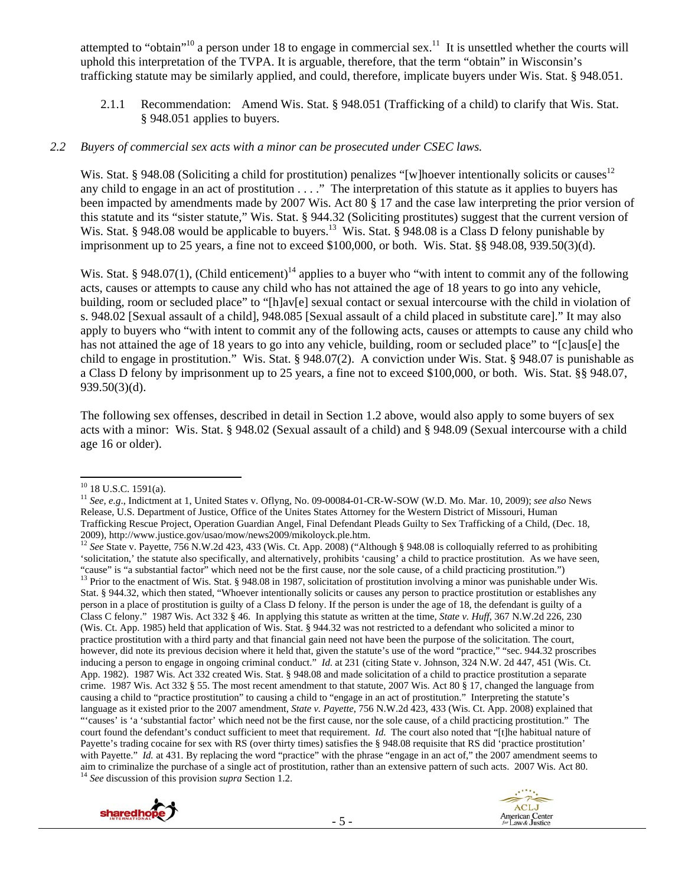attempted to "obtain"<sup>10</sup> a person under 18 to engage in commercial sex.<sup>11</sup> It is unsettled whether the courts will uphold this interpretation of the TVPA. It is arguable, therefore, that the term "obtain" in Wisconsin's trafficking statute may be similarly applied, and could, therefore, implicate buyers under Wis. Stat. § 948.051.

2.1.1 Recommendation: Amend Wis. Stat. § 948.051 (Trafficking of a child) to clarify that Wis. Stat. § 948.051 applies to buyers.

#### *2.2 Buyers of commercial sex acts with a minor can be prosecuted under CSEC laws.*

Wis. Stat. § 948.08 (Soliciting a child for prostitution) penalizes "[w]hoever intentionally solicits or causes<sup>12</sup> any child to engage in an act of prostitution . . . ." The interpretation of this statute as it applies to buyers has been impacted by amendments made by 2007 Wis. Act 80 § 17 and the case law interpreting the prior version of this statute and its "sister statute," Wis. Stat. § 944.32 (Soliciting prostitutes) suggest that the current version of Wis. Stat. § 948.08 would be applicable to buyers.<sup>13</sup> Wis. Stat. § 948.08 is a Class D felony punishable by imprisonment up to 25 years, a fine not to exceed \$100,000, or both. Wis. Stat. §§ 948.08, 939.50(3)(d).

Wis. Stat. § 948.07(1), (Child enticement)<sup>14</sup> applies to a buyer who "with intent to commit any of the following acts, causes or attempts to cause any child who has not attained the age of 18 years to go into any vehicle, building, room or secluded place" to "[h]av[e] sexual contact or sexual intercourse with the child in violation of s. 948.02 [Sexual assault of a child], 948.085 [Sexual assault of a child placed in substitute care]." It may also apply to buyers who "with intent to commit any of the following acts, causes or attempts to cause any child who has not attained the age of 18 years to go into any vehicle, building, room or secluded place" to "[c]aus[e] the child to engage in prostitution." Wis. Stat. § 948.07(2). A conviction under Wis. Stat. § 948.07 is punishable as a Class D felony by imprisonment up to 25 years, a fine not to exceed \$100,000, or both. Wis. Stat. §§ 948.07, 939.50(3)(d).

The following sex offenses, described in detail in Section 1.2 above, would also apply to some buyers of sex acts with a minor: Wis. Stat. § 948.02 (Sexual assault of a child) and § 948.09 (Sexual intercourse with a child age 16 or older).

<sup>&</sup>lt;sup>12</sup> See State v. Payette, 756 N.W.2d 423, 433 (Wis. Ct. App. 2008) ("Although § 948.08 is colloquially referred to as prohibiting 'solicitation,' the statute also specifically, and alternatively, prohibits 'causing' a child to practice prostitution. As we have seen, "cause" is "a substantial factor" which need not be the first cause, nor the sole cause, of a child practicing prostitution.")<br><sup>13</sup> Prior to the enactment of Wis. Stat. § 948.08 in 1987, solicitation of prostitution involv Stat. § 944.32, which then stated, "Whoever intentionally solicits or causes any person to practice prostitution or establishes any person in a place of prostitution is guilty of a Class D felony. If the person is under the age of 18, the defendant is guilty of a Class C felony." 1987 Wis. Act 332 § 46. In applying this statute as written at the time, *State v. Huff*, 367 N.W.2d 226, 230 (Wis. Ct. App. 1985) held that application of Wis. Stat. § 944.32 was not restricted to a defendant who solicited a minor to practice prostitution with a third party and that financial gain need not have been the purpose of the solicitation. The court, however, did note its previous decision where it held that, given the statute's use of the word "practice," "sec. 944.32 proscribes inducing a person to engage in ongoing criminal conduct." *Id*. at 231 (citing State v. Johnson, 324 N.W. 2d 447, 451 (Wis. Ct. App. 1982). 1987 Wis. Act 332 created Wis. Stat. § 948.08 and made solicitation of a child to practice prostitution a separate crime. 1987 Wis. Act 332 § 55. The most recent amendment to that statute, 2007 Wis. Act 80 § 17, changed the language from causing a child to "practice prostitution" to causing a child to "engage in an act of prostitution." Interpreting the statute's language as it existed prior to the 2007 amendment, *State v. Payette*, 756 N.W.2d 423, 433 (Wis. Ct. App. 2008) explained that "'causes' is 'a 'substantial factor' which need not be the first cause, nor the sole cause, of a child practicing prostitution." The court found the defendant's conduct sufficient to meet that requirement. *Id*. The court also noted that "[t]he habitual nature of Payette's trading cocaine for sex with RS (over thirty times) satisfies the § 948.08 requisite that RS did 'practice prostitution' with Payette." *Id.* at 431. By replacing the word "practice" with the phrase "engage in an act of," the 2007 amendment seems to aim to criminalize the purchase of a single act of prostitution, rather than an extensive pattern of such acts. 2007 Wis. Act 80. 14 *See* discussion of this provision *supra* Section 1.2.





 <sup>10</sup> 18 U.S.C. 1591(a).

<sup>11</sup> *See, e.g*., Indictment at 1, United States v. Oflyng, No. 09-00084-01-CR-W-SOW (W.D. Mo. Mar. 10, 2009); *see also* News Release, U.S. Department of Justice, Office of the Unites States Attorney for the Western District of Missouri, Human Trafficking Rescue Project, Operation Guardian Angel, Final Defendant Pleads Guilty to Sex Trafficking of a Child, (Dec. 18,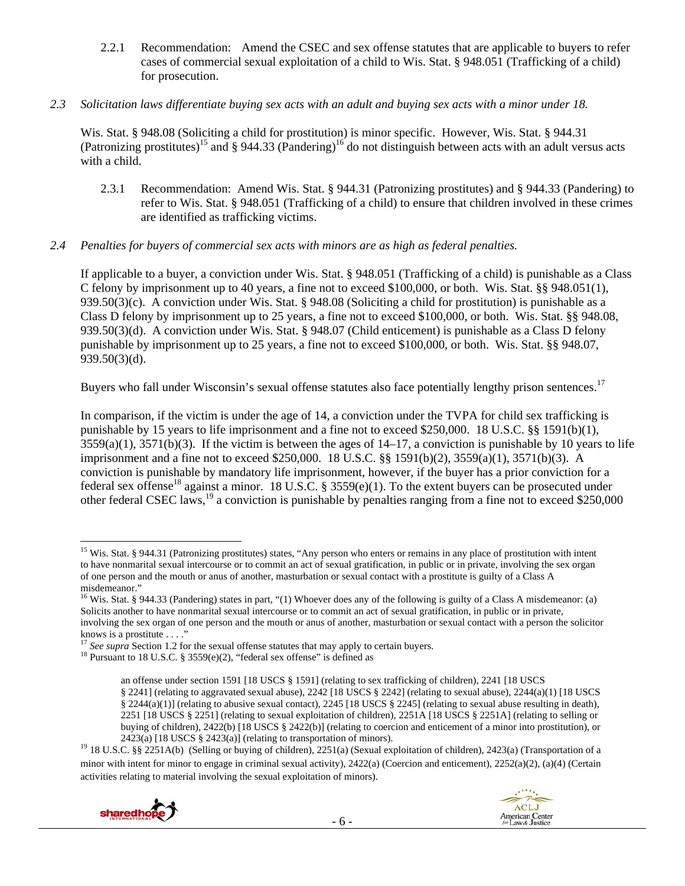2.2.1 Recommendation: Amend the CSEC and sex offense statutes that are applicable to buyers to refer cases of commercial sexual exploitation of a child to Wis. Stat. § 948.051 (Trafficking of a child) for prosecution.

## *2.3 Solicitation laws differentiate buying sex acts with an adult and buying sex acts with a minor under 18.*

Wis. Stat. § 948.08 (Soliciting a child for prostitution) is minor specific. However, Wis. Stat. § 944.31 (Patronizing prostitutes)<sup>15</sup> and § 944.33 (Pandering)<sup>16</sup> do not distinguish between acts with an adult versus acts with a child.

2.3.1 Recommendation: Amend Wis. Stat. § 944.31 (Patronizing prostitutes) and § 944.33 (Pandering) to refer to Wis. Stat. § 948.051 (Trafficking of a child) to ensure that children involved in these crimes are identified as trafficking victims.

# *2.4 Penalties for buyers of commercial sex acts with minors are as high as federal penalties.*

If applicable to a buyer, a conviction under Wis. Stat. § 948.051 (Trafficking of a child) is punishable as a Class C felony by imprisonment up to 40 years, a fine not to exceed \$100,000, or both. Wis. Stat. §§ 948.051(1), 939.50(3)(c). A conviction under Wis. Stat. § 948.08 (Soliciting a child for prostitution) is punishable as a Class D felony by imprisonment up to 25 years, a fine not to exceed \$100,000, or both. Wis. Stat. §§ 948.08, 939.50(3)(d). A conviction under Wis. Stat. § 948.07 (Child enticement) is punishable as a Class D felony punishable by imprisonment up to 25 years, a fine not to exceed \$100,000, or both. Wis. Stat. §§ 948.07, 939.50(3)(d).

Buyers who fall under Wisconsin's sexual offense statutes also face potentially lengthy prison sentences.<sup>17</sup>

In comparison, if the victim is under the age of 14, a conviction under the TVPA for child sex trafficking is punishable by 15 years to life imprisonment and a fine not to exceed \$250,000. 18 U.S.C. §§ 1591(b)(1),  $3559(a)(1)$ ,  $3571(b)(3)$ . If the victim is between the ages of  $14-17$ , a conviction is punishable by 10 years to life imprisonment and a fine not to exceed \$250,000. 18 U.S.C. §§ 1591(b)(2), 3559(a)(1), 3571(b)(3). A conviction is punishable by mandatory life imprisonment, however, if the buyer has a prior conviction for a federal sex offense<sup>18</sup> against a minor. 18 U.S.C. § 3559(e)(1). To the extent buyers can be prosecuted under other federal CSEC laws,19 a conviction is punishable by penalties ranging from a fine not to exceed \$250,000

<sup>2423(</sup>a) [18 USCS § 2423(a)] (relating to transportation of minors).<br><sup>19</sup> 18 U.S.C. §§ 2251A(b) (Selling or buying of children), 2251(a) (Sexual exploitation of children), 2423(a) (Transportation of a minor with intent for minor to engage in criminal sexual activity), 2422(a) (Coercion and enticement), 2252(a)(2), (a)(4) (Certain activities relating to material involving the sexual exploitation of minors).





<sup>&</sup>lt;sup>15</sup> Wis. Stat. § 944.31 (Patronizing prostitutes) states, "Any person who enters or remains in any place of prostitution with intent to have nonmarital sexual intercourse or to commit an act of sexual gratification, in public or in private, involving the sex organ of one person and the mouth or anus of another, masturbation or sexual contact with a prostitute is guilty of a Class A misdemeanor."

<sup>&</sup>lt;sup>16</sup> Wis. Stat. § 944.33 (Pandering) states in part, "(1) Whoever does any of the following is guilty of a Class A misdemeanor: (a) Solicits another to have nonmarital sexual intercourse or to commit an act of sexual gratification, in public or in private, involving the sex organ of one person and the mouth or anus of another, masturbation or sexual contact with a person the solicitor knows is a prostitute . . . ."

<sup>&</sup>lt;sup>17</sup> *See supra* Section 1.2 for the sexual offense statutes that may apply to certain buyers. <sup>18</sup> Pursuant to 18 U.S.C. § 3559(e)(2), "federal sex offense" is defined as

an offense under section 1591 [18 USCS § 1591] (relating to sex trafficking of children), 2241 [18 USCS § 2241] (relating to aggravated sexual abuse), 2242 [18 USCS § 2242] (relating to sexual abuse), 2244(a)(1) [18 USCS § 2244(a)(1)] (relating to abusive sexual contact), 2245 [18 USCS § 2245] (relating to sexual abuse resulting in death), 2251 [18 USCS § 2251] (relating to sexual exploitation of children), 2251A [18 USCS § 2251A] (relating to selling or buying of children), 2422(b) [18 USCS § 2422(b)] (relating to coercion and enticement of a minor into prostitution), or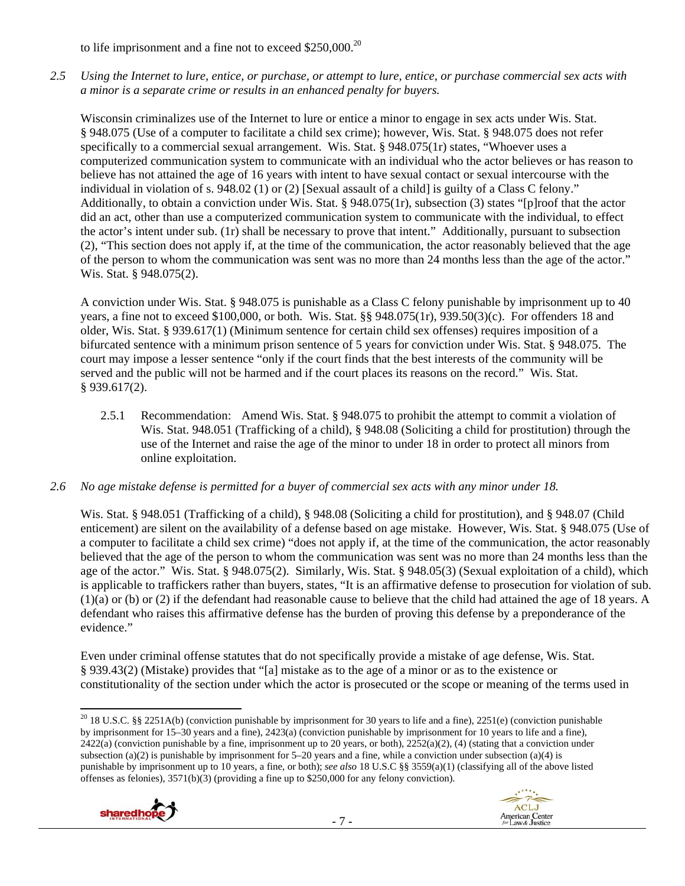to life imprisonment and a fine not to exceed \$250,000.<sup>20</sup>

*2.5 Using the Internet to lure, entice, or purchase, or attempt to lure, entice, or purchase commercial sex acts with a minor is a separate crime or results in an enhanced penalty for buyers.* 

Wisconsin criminalizes use of the Internet to lure or entice a minor to engage in sex acts under Wis. Stat. § 948.075 (Use of a computer to facilitate a child sex crime); however, Wis. Stat. § 948.075 does not refer specifically to a commercial sexual arrangement. Wis. Stat. § 948.075(1r) states, "Whoever uses a computerized communication system to communicate with an individual who the actor believes or has reason to believe has not attained the age of 16 years with intent to have sexual contact or sexual intercourse with the individual in violation of s. 948.02 (1) or (2) [Sexual assault of a child] is guilty of a Class C felony." Additionally, to obtain a conviction under Wis. Stat. § 948.075(1r), subsection (3) states "[p]roof that the actor did an act, other than use a computerized communication system to communicate with the individual, to effect the actor's intent under sub. (1r) shall be necessary to prove that intent." Additionally, pursuant to subsection (2), "This section does not apply if, at the time of the communication, the actor reasonably believed that the age of the person to whom the communication was sent was no more than 24 months less than the age of the actor." Wis. Stat. § 948.075(2).

A conviction under Wis. Stat. § 948.075 is punishable as a Class C felony punishable by imprisonment up to 40 years, a fine not to exceed \$100,000, or both. Wis. Stat. §§ 948.075(1r), 939.50(3)(c). For offenders 18 and older, Wis. Stat. § 939.617(1) (Minimum sentence for certain child sex offenses) requires imposition of a bifurcated sentence with a minimum prison sentence of 5 years for conviction under Wis. Stat. § 948.075. The court may impose a lesser sentence "only if the court finds that the best interests of the community will be served and the public will not be harmed and if the court places its reasons on the record." Wis. Stat. § 939.617(2).

2.5.1 Recommendation: Amend Wis. Stat. § 948.075 to prohibit the attempt to commit a violation of Wis. Stat. 948.051 (Trafficking of a child), § 948.08 (Soliciting a child for prostitution) through the use of the Internet and raise the age of the minor to under 18 in order to protect all minors from online exploitation.

# *2.6 No age mistake defense is permitted for a buyer of commercial sex acts with any minor under 18.*

Wis. Stat. § 948.051 (Trafficking of a child), § 948.08 (Soliciting a child for prostitution), and § 948.07 (Child enticement) are silent on the availability of a defense based on age mistake. However, Wis. Stat. § 948.075 (Use of a computer to facilitate a child sex crime) "does not apply if, at the time of the communication, the actor reasonably believed that the age of the person to whom the communication was sent was no more than 24 months less than the age of the actor." Wis. Stat. § 948.075(2). Similarly, Wis. Stat. § 948.05(3) (Sexual exploitation of a child), which is applicable to traffickers rather than buyers, states, "It is an affirmative defense to prosecution for violation of sub. (1)(a) or (b) or (2) if the defendant had reasonable cause to believe that the child had attained the age of 18 years. A defendant who raises this affirmative defense has the burden of proving this defense by a preponderance of the evidence."

Even under criminal offense statutes that do not specifically provide a mistake of age defense, Wis. Stat. § 939.43(2) (Mistake) provides that "[a] mistake as to the age of a minor or as to the existence or constitutionality of the section under which the actor is prosecuted or the scope or meaning of the terms used in

 <sup>20</sup> 18 U.S.C. §§ 2251A(b) (conviction punishable by imprisonment for 30 years to life and a fine), 2251(e) (conviction punishable by imprisonment for 15–30 years and a fine), 2423(a) (conviction punishable by imprisonment for 10 years to life and a fine),  $2422(a)$  (conviction punishable by a fine, imprisonment up to 20 years, or both),  $2252(a)(2)$ , (4) (stating that a conviction under subsection (a)(2) is punishable by imprisonment for  $5-20$  years and a fine, while a conviction under subsection (a)(4) is punishable by imprisonment up to 10 years, a fine, or both); *see also* 18 U.S.C §§ 3559(a)(1) (classifying all of the above listed offenses as felonies), 3571(b)(3) (providing a fine up to \$250,000 for any felony conviction).



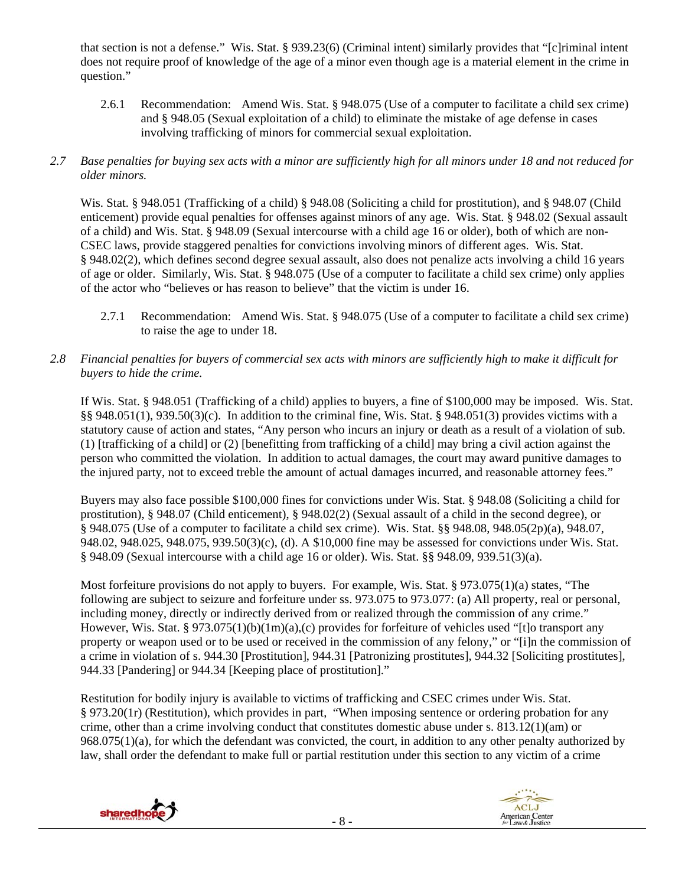that section is not a defense." Wis. Stat. § 939.23(6) (Criminal intent) similarly provides that "[c]riminal intent does not require proof of knowledge of the age of a minor even though age is a material element in the crime in question."

- 2.6.1 Recommendation: Amend Wis. Stat. § 948.075 (Use of a computer to facilitate a child sex crime) and § 948.05 (Sexual exploitation of a child) to eliminate the mistake of age defense in cases involving trafficking of minors for commercial sexual exploitation.
- *2.7 Base penalties for buying sex acts with a minor are sufficiently high for all minors under 18 and not reduced for older minors.*

Wis. Stat. § 948.051 (Trafficking of a child) § 948.08 (Soliciting a child for prostitution), and § 948.07 (Child enticement) provide equal penalties for offenses against minors of any age. Wis. Stat. § 948.02 (Sexual assault of a child) and Wis. Stat. § 948.09 (Sexual intercourse with a child age 16 or older), both of which are non-CSEC laws, provide staggered penalties for convictions involving minors of different ages. Wis. Stat. § 948.02(2), which defines second degree sexual assault, also does not penalize acts involving a child 16 years of age or older. Similarly, Wis. Stat. § 948.075 (Use of a computer to facilitate a child sex crime) only applies of the actor who "believes or has reason to believe" that the victim is under 16.

- 2.7.1 Recommendation: Amend Wis. Stat. § 948.075 (Use of a computer to facilitate a child sex crime) to raise the age to under 18.
- *2.8 Financial penalties for buyers of commercial sex acts with minors are sufficiently high to make it difficult for buyers to hide the crime.*

If Wis. Stat. § 948.051 (Trafficking of a child) applies to buyers, a fine of \$100,000 may be imposed. Wis. Stat. §§ 948.051(1), 939.50(3)(c). In addition to the criminal fine, Wis. Stat. § 948.051(3) provides victims with a statutory cause of action and states, "Any person who incurs an injury or death as a result of a violation of sub. (1) [trafficking of a child] or (2) [benefitting from trafficking of a child] may bring a civil action against the person who committed the violation. In addition to actual damages, the court may award punitive damages to the injured party, not to exceed treble the amount of actual damages incurred, and reasonable attorney fees."

Buyers may also face possible \$100,000 fines for convictions under Wis. Stat. § 948.08 (Soliciting a child for prostitution), § 948.07 (Child enticement), § 948.02(2) (Sexual assault of a child in the second degree), or § 948.075 (Use of a computer to facilitate a child sex crime). Wis. Stat. §§ 948.08, 948.05(2p)(a), 948.07, 948.02, 948.025, 948.075, 939.50(3)(c), (d). A \$10,000 fine may be assessed for convictions under Wis. Stat. § 948.09 (Sexual intercourse with a child age 16 or older). Wis. Stat. §§ 948.09, 939.51(3)(a).

Most forfeiture provisions do not apply to buyers. For example, Wis. Stat. § 973.075(1)(a) states, "The following are subject to seizure and forfeiture under ss. 973.075 to 973.077: (a) All property, real or personal, including money, directly or indirectly derived from or realized through the commission of any crime." However, Wis. Stat. § 973.075(1)(b)(1m)(a),(c) provides for forfeiture of vehicles used "[t]o transport any property or weapon used or to be used or received in the commission of any felony," or "[i]n the commission of a crime in violation of s. 944.30 [Prostitution], 944.31 [Patronizing prostitutes], 944.32 [Soliciting prostitutes], 944.33 [Pandering] or 944.34 [Keeping place of prostitution]."

Restitution for bodily injury is available to victims of trafficking and CSEC crimes under Wis. Stat. § 973.20(1r) (Restitution), which provides in part, "When imposing sentence or ordering probation for any crime, other than a crime involving conduct that constitutes domestic abuse under s. 813.12(1)(am) or 968.075(1)(a), for which the defendant was convicted, the court, in addition to any other penalty authorized by law, shall order the defendant to make full or partial restitution under this section to any victim of a crime



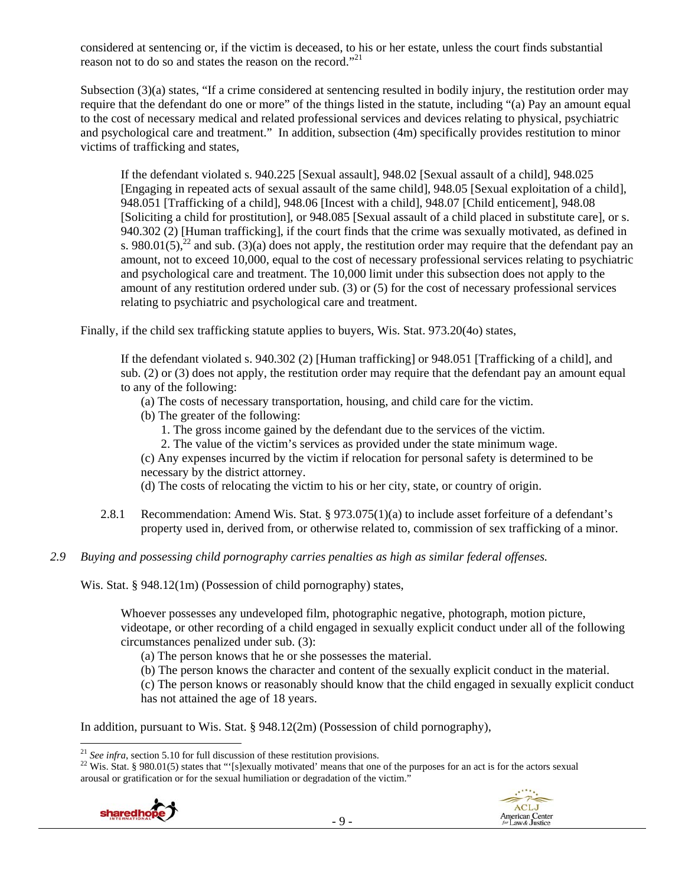considered at sentencing or, if the victim is deceased, to his or her estate, unless the court finds substantial reason not to do so and states the reason on the record."<sup>21</sup>

Subsection (3)(a) states, "If a crime considered at sentencing resulted in bodily injury, the restitution order may require that the defendant do one or more" of the things listed in the statute, including "(a) Pay an amount equal to the cost of necessary medical and related professional services and devices relating to physical, psychiatric and psychological care and treatment." In addition, subsection (4m) specifically provides restitution to minor victims of trafficking and states,

If the defendant violated s. 940.225 [Sexual assault], 948.02 [Sexual assault of a child], 948.025 [Engaging in repeated acts of sexual assault of the same child], 948.05 [Sexual exploitation of a child], 948.051 [Trafficking of a child], 948.06 [Incest with a child], 948.07 [Child enticement], 948.08 [Soliciting a child for prostitution], or 948.085 [Sexual assault of a child placed in substitute care], or s. 940.302 (2) [Human trafficking], if the court finds that the crime was sexually motivated, as defined in s. 980.01(5),<sup>22</sup> and sub. (3)(a) does not apply, the restitution order may require that the defendant pay an amount, not to exceed 10,000, equal to the cost of necessary professional services relating to psychiatric and psychological care and treatment. The 10,000 limit under this subsection does not apply to the amount of any restitution ordered under sub. (3) or (5) for the cost of necessary professional services relating to psychiatric and psychological care and treatment.

Finally, if the child sex trafficking statute applies to buyers, Wis. Stat. 973.20(4o) states,

If the defendant violated s. 940.302 (2) [Human trafficking] or 948.051 [Trafficking of a child], and sub. (2) or (3) does not apply, the restitution order may require that the defendant pay an amount equal to any of the following:

- (a) The costs of necessary transportation, housing, and child care for the victim.
- (b) The greater of the following:
	- 1. The gross income gained by the defendant due to the services of the victim.
	- 2. The value of the victim's services as provided under the state minimum wage.

(c) Any expenses incurred by the victim if relocation for personal safety is determined to be necessary by the district attorney.

(d) The costs of relocating the victim to his or her city, state, or country of origin.

- 2.8.1 Recommendation: Amend Wis. Stat. § 973.075(1)(a) to include asset forfeiture of a defendant's property used in, derived from, or otherwise related to, commission of sex trafficking of a minor.
- *2.9 Buying and possessing child pornography carries penalties as high as similar federal offenses.*

Wis. Stat. § 948.12(1m) (Possession of child pornography) states,

Whoever possesses any undeveloped film, photographic negative, photograph, motion picture, videotape, or other recording of a child engaged in sexually explicit conduct under all of the following circumstances penalized under sub. (3):

- (a) The person knows that he or she possesses the material.
- (b) The person knows the character and content of the sexually explicit conduct in the material.

(c) The person knows or reasonably should know that the child engaged in sexually explicit conduct has not attained the age of 18 years.

In addition, pursuant to Wis. Stat. § 948.12(2m) (Possession of child pornography),

<sup>&</sup>lt;sup>22</sup> Wis. Stat. § 980.01(5) states that "'[s]exually motivated' means that one of the purposes for an act is for the actors sexual arousal or gratification or for the sexual humiliation or degradation of the victim."





 $^{21}$  See infra, section 5.10 for full discussion of these restitution provisions.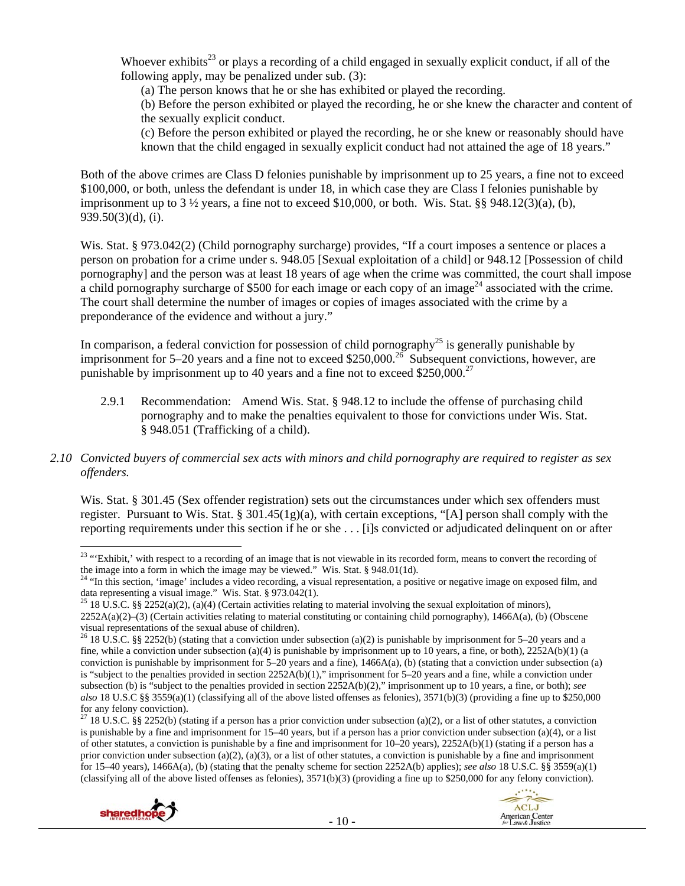Whoever exhibits<sup>23</sup> or plays a recording of a child engaged in sexually explicit conduct, if all of the following apply, may be penalized under sub. (3):

(a) The person knows that he or she has exhibited or played the recording.

(b) Before the person exhibited or played the recording, he or she knew the character and content of the sexually explicit conduct.

(c) Before the person exhibited or played the recording, he or she knew or reasonably should have known that the child engaged in sexually explicit conduct had not attained the age of 18 years."

Both of the above crimes are Class D felonies punishable by imprisonment up to 25 years, a fine not to exceed \$100,000, or both, unless the defendant is under 18, in which case they are Class I felonies punishable by imprisonment up to  $3\frac{1}{2}$  years, a fine not to exceed \$10,000, or both. Wis. Stat. §§ 948.12(3)(a), (b), 939.50(3)(d), (i).

Wis. Stat. § 973.042(2) (Child pornography surcharge) provides, "If a court imposes a sentence or places a person on probation for a crime under s. 948.05 [Sexual exploitation of a child] or 948.12 [Possession of child pornography] and the person was at least 18 years of age when the crime was committed, the court shall impose a child pornography surcharge of \$500 for each image or each copy of an image<sup>24</sup> associated with the crime. The court shall determine the number of images or copies of images associated with the crime by a preponderance of the evidence and without a jury."

In comparison, a federal conviction for possession of child pornography<sup>25</sup> is generally punishable by imprisonment for 5–20 years and a fine not to exceed \$250,000.<sup>26</sup> Subsequent convictions, however, are punishable by imprisonment up to 40 years and a fine not to exceed  $$250,000.<sup>27</sup>$ 

2.9.1 Recommendation: Amend Wis. Stat. § 948.12 to include the offense of purchasing child pornography and to make the penalties equivalent to those for convictions under Wis. Stat. § 948.051 (Trafficking of a child).

# *2.10 Convicted buyers of commercial sex acts with minors and child pornography are required to register as sex offenders.*

Wis. Stat. § 301.45 (Sex offender registration) sets out the circumstances under which sex offenders must register. Pursuant to Wis. Stat. §  $301.45(1g)(a)$ , with certain exceptions, "[A] person shall comply with the reporting requirements under this section if he or she . . . [i]s convicted or adjudicated delinquent on or after

<sup>&</sup>lt;sup>27</sup> 18 U.S.C. §§ 2252(b) (stating if a person has a prior conviction under subsection (a)(2), or a list of other statutes, a conviction is punishable by a fine and imprisonment for  $15-40$  years, but if a person has a prior conviction under subsection (a)(4), or a list of other statutes, a conviction is punishable by a fine and imprisonment for 10–20 years), 2252A(b)(1) (stating if a person has a prior conviction under subsection (a)(2), (a)(3), or a list of other statutes, a conviction is punishable by a fine and imprisonment for 15–40 years), 1466A(a), (b) (stating that the penalty scheme for section 2252A(b) applies); *see also* 18 U.S.C. §§ 3559(a)(1) (classifying all of the above listed offenses as felonies),  $3571(b)(3)$  (providing a fine up to \$250,000 for any felony conviction).





 <sup>23</sup> "Exhibit,' with respect to a recording of an image that is not viewable in its recorded form, means to convert the recording of the image into a form in which the image may be viewed." Wis. Stat. § 948.01(1d).  $24$  "In this section, 'image' includes a video recording, a visual representation, a positive or negative image on exposed film, and

data representing a visual image." Wis. Stat. § 973.042(1).<br><sup>25</sup> 18 U.S.C. §§ 2252(a)(2), (a)(4) (Certain activities relating to material involving the sexual exploitation of minors),

<sup>2252</sup>A(a)(2)–(3) (Certain activities relating to material constituting or containing child pornography), 1466A(a), (b) (Obscene visual representations of the sexual abuse of children).

<sup>&</sup>lt;sup>26</sup> 18 U.S.C. §§ 2252(b) (stating that a conviction under subsection (a)(2) is punishable by imprisonment for 5–20 years and a fine, while a conviction under subsection (a)(4) is punishable by imprisonment up to 10 years, a fine, or both),  $2252A(b)(1)$  (a conviction is punishable by imprisonment for 5–20 years and a fine), 1466A(a), (b) (stating that a conviction under subsection (a) is "subject to the penalties provided in section 2252A(b)(1)," imprisonment for 5–20 years and a fine, while a conviction under subsection (b) is "subject to the penalties provided in section 2252A(b)(2)," imprisonment up to 10 years, a fine, or both); *see also* 18 U.S.C §§ 3559(a)(1) (classifying all of the above listed offenses as felonies), 3571(b)(3) (providing a fine up to \$250,000 for any felony conviction).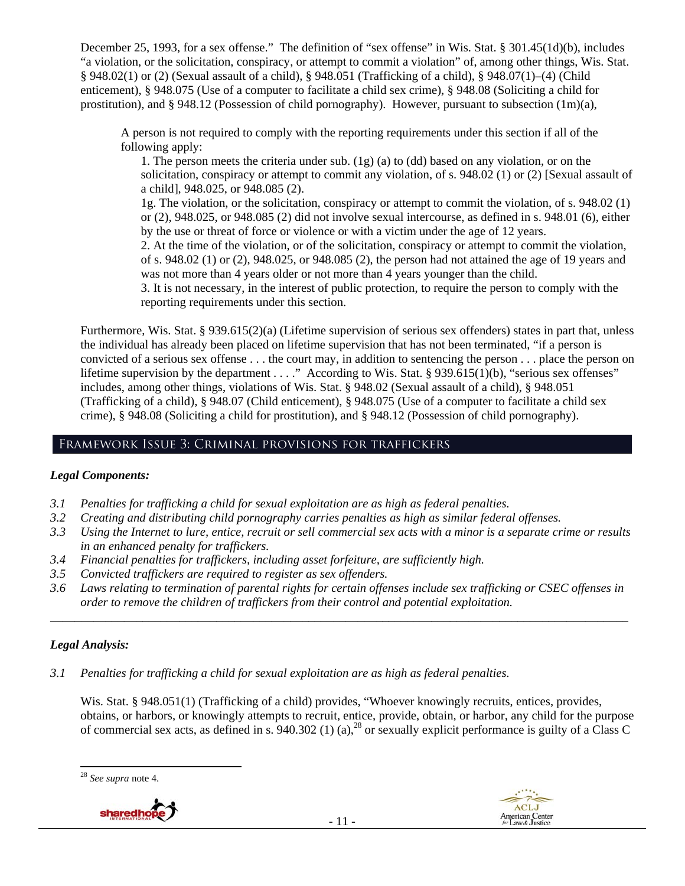December 25, 1993, for a sex offense." The definition of "sex offense" in Wis. Stat. § 301.45(1d)(b), includes "a violation, or the solicitation, conspiracy, or attempt to commit a violation" of, among other things, Wis. Stat. § 948.02(1) or (2) (Sexual assault of a child), § 948.051 (Trafficking of a child), § 948.07(1)–(4) (Child enticement), § 948.075 (Use of a computer to facilitate a child sex crime), § 948.08 (Soliciting a child for prostitution), and § 948.12 (Possession of child pornography). However, pursuant to subsection (1m)(a),

A person is not required to comply with the reporting requirements under this section if all of the following apply:

1. The person meets the criteria under sub. (1g) (a) to (dd) based on any violation, or on the solicitation, conspiracy or attempt to commit any violation, of s. 948.02 (1) or (2) [Sexual assault of a child], 948.025, or 948.085 (2).

1g. The violation, or the solicitation, conspiracy or attempt to commit the violation, of s. 948.02 (1) or (2), 948.025, or 948.085 (2) did not involve sexual intercourse, as defined in s. 948.01 (6), either by the use or threat of force or violence or with a victim under the age of 12 years.

2. At the time of the violation, or of the solicitation, conspiracy or attempt to commit the violation, of s. 948.02 (1) or (2), 948.025, or 948.085 (2), the person had not attained the age of 19 years and was not more than 4 years older or not more than 4 years younger than the child.

3. It is not necessary, in the interest of public protection, to require the person to comply with the reporting requirements under this section.

Furthermore, Wis. Stat. § 939.615(2)(a) (Lifetime supervision of serious sex offenders) states in part that, unless the individual has already been placed on lifetime supervision that has not been terminated, "if a person is convicted of a serious sex offense . . . the court may, in addition to sentencing the person . . . place the person on lifetime supervision by the department . . . ." According to Wis. Stat. § 939.615(1)(b), "serious sex offenses" includes, among other things, violations of Wis. Stat. § 948.02 (Sexual assault of a child), § 948.051 (Trafficking of a child), § 948.07 (Child enticement), § 948.075 (Use of a computer to facilitate a child sex crime), § 948.08 (Soliciting a child for prostitution), and § 948.12 (Possession of child pornography).

# Framework Issue 3: Criminal provisions for traffickers

# *Legal Components:*

- *3.1 Penalties for trafficking a child for sexual exploitation are as high as federal penalties.*
- *3.2 Creating and distributing child pornography carries penalties as high as similar federal offenses.*
- *3.3 Using the Internet to lure, entice, recruit or sell commercial sex acts with a minor is a separate crime or results in an enhanced penalty for traffickers.*
- *3.4 Financial penalties for traffickers, including asset forfeiture, are sufficiently high.*
- *3.5 Convicted traffickers are required to register as sex offenders.*
- *3.6 Laws relating to termination of parental rights for certain offenses include sex trafficking or CSEC offenses in order to remove the children of traffickers from their control and potential exploitation. \_\_\_\_\_\_\_\_\_\_\_\_\_\_\_\_\_\_\_\_\_\_\_\_\_\_\_\_\_\_\_\_\_\_\_\_\_\_\_\_\_\_\_\_\_\_\_\_\_\_\_\_\_\_\_\_\_\_\_\_\_\_\_\_\_\_\_\_\_\_\_\_\_\_\_\_\_\_\_\_\_\_\_\_\_\_\_\_\_\_\_\_\_\_*

# *Legal Analysis:*

*3.1 Penalties for trafficking a child for sexual exploitation are as high as federal penalties.* 

Wis. Stat. § 948.051(1) (Trafficking of a child) provides, "Whoever knowingly recruits, entices, provides, obtains, or harbors, or knowingly attempts to recruit, entice, provide, obtain, or harbor, any child for the purpose of commercial sex acts, as defined in s. 940.302 (1) (a),28 or sexually explicit performance is guilty of a Class C

<sup>28</sup> *See supra* note 4.

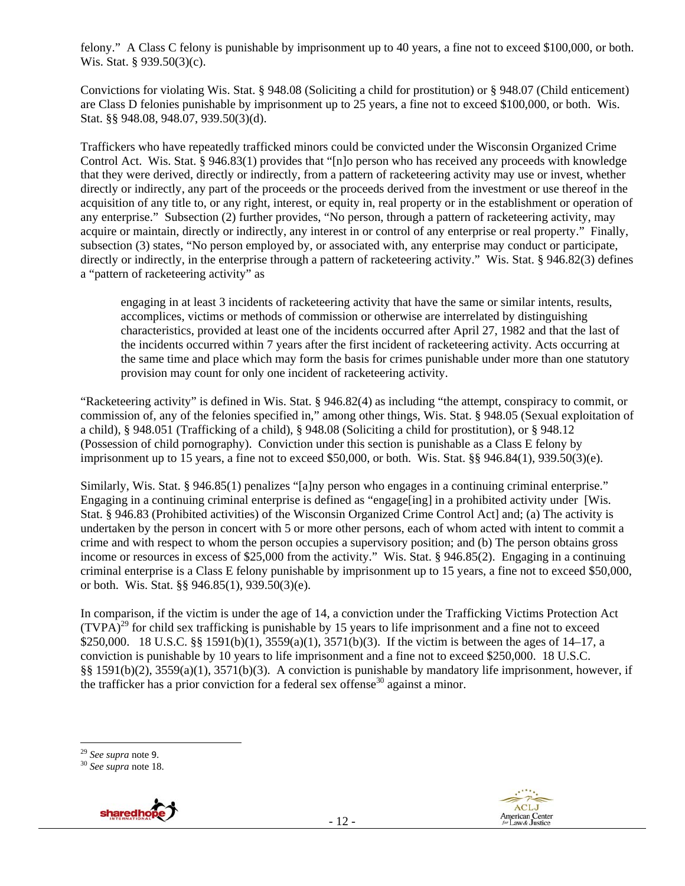felony." A Class C felony is punishable by imprisonment up to 40 years, a fine not to exceed \$100,000, or both. Wis. Stat. § 939.50(3)(c).

Convictions for violating Wis. Stat. § 948.08 (Soliciting a child for prostitution) or § 948.07 (Child enticement) are Class D felonies punishable by imprisonment up to 25 years, a fine not to exceed \$100,000, or both. Wis. Stat. §§ 948.08, 948.07, 939.50(3)(d).

Traffickers who have repeatedly trafficked minors could be convicted under the Wisconsin Organized Crime Control Act. Wis. Stat. § 946.83(1) provides that "[n]o person who has received any proceeds with knowledge that they were derived, directly or indirectly, from a pattern of racketeering activity may use or invest, whether directly or indirectly, any part of the proceeds or the proceeds derived from the investment or use thereof in the acquisition of any title to, or any right, interest, or equity in, real property or in the establishment or operation of any enterprise." Subsection (2) further provides, "No person, through a pattern of racketeering activity, may acquire or maintain, directly or indirectly, any interest in or control of any enterprise or real property." Finally, subsection (3) states, "No person employed by, or associated with, any enterprise may conduct or participate, directly or indirectly, in the enterprise through a pattern of racketeering activity." Wis. Stat. § 946.82(3) defines a "pattern of racketeering activity" as

engaging in at least 3 incidents of racketeering activity that have the same or similar intents, results, accomplices, victims or methods of commission or otherwise are interrelated by distinguishing characteristics, provided at least one of the incidents occurred after April 27, 1982 and that the last of the incidents occurred within 7 years after the first incident of racketeering activity. Acts occurring at the same time and place which may form the basis for crimes punishable under more than one statutory provision may count for only one incident of racketeering activity.

"Racketeering activity" is defined in Wis. Stat. § 946.82(4) as including "the attempt, conspiracy to commit, or commission of, any of the felonies specified in," among other things, Wis. Stat. § 948.05 (Sexual exploitation of a child), § 948.051 (Trafficking of a child), § 948.08 (Soliciting a child for prostitution), or § 948.12 (Possession of child pornography). Conviction under this section is punishable as a Class E felony by imprisonment up to 15 years, a fine not to exceed \$50,000, or both. Wis. Stat. §§ 946.84(1), 939.50(3)(e).

Similarly, Wis. Stat. § 946.85(1) penalizes "[a]ny person who engages in a continuing criminal enterprise." Engaging in a continuing criminal enterprise is defined as "engage [ing] in a prohibited activity under [Wis. Stat. § 946.83 (Prohibited activities) of the Wisconsin Organized Crime Control Act] and; (a) The activity is undertaken by the person in concert with 5 or more other persons, each of whom acted with intent to commit a crime and with respect to whom the person occupies a supervisory position; and (b) The person obtains gross income or resources in excess of \$25,000 from the activity." Wis. Stat. § 946.85(2). Engaging in a continuing criminal enterprise is a Class E felony punishable by imprisonment up to 15 years, a fine not to exceed \$50,000, or both. Wis. Stat. §§ 946.85(1), 939.50(3)(e).

In comparison, if the victim is under the age of 14, a conviction under the Trafficking Victims Protection Act  $(TVPA)<sup>29</sup>$  for child sex trafficking is punishable by 15 years to life imprisonment and a fine not to exceed \$250,000. 18 U.S.C. §§ 1591(b)(1), 3559(a)(1), 3571(b)(3). If the victim is between the ages of 14–17, a conviction is punishable by 10 years to life imprisonment and a fine not to exceed \$250,000. 18 U.S.C. §§ 1591(b)(2), 3559(a)(1), 3571(b)(3). A conviction is punishable by mandatory life imprisonment, however, if the trafficker has a prior conviction for a federal sex offense<sup>30</sup> against a minor.





<sup>29</sup> *See supra* note 9. 30 *See supra* note 18.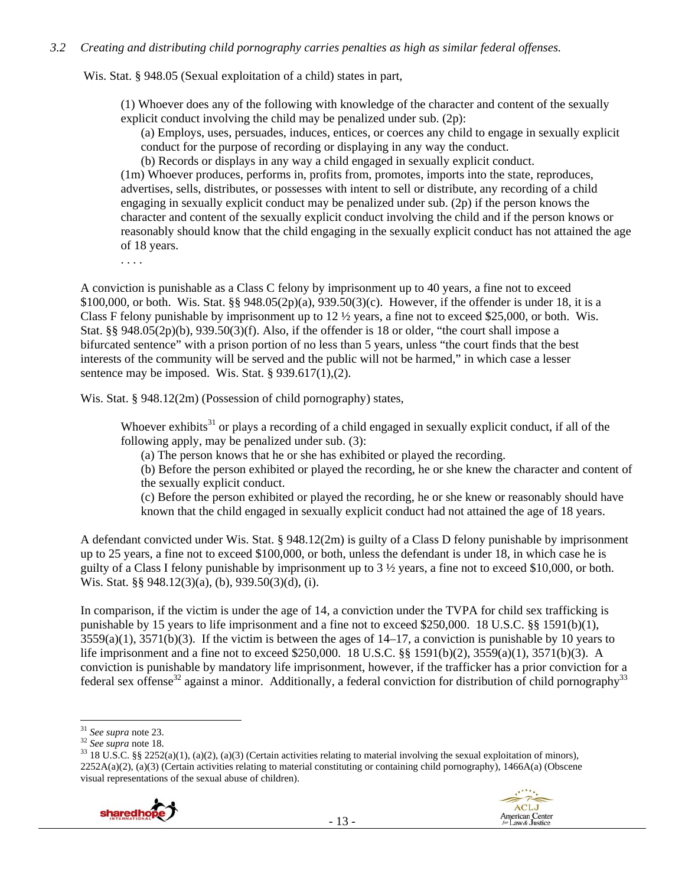#### *3.2 Creating and distributing child pornography carries penalties as high as similar federal offenses.*

Wis. Stat. § 948.05 (Sexual exploitation of a child) states in part,

(1) Whoever does any of the following with knowledge of the character and content of the sexually explicit conduct involving the child may be penalized under sub. (2p):

(a) Employs, uses, persuades, induces, entices, or coerces any child to engage in sexually explicit conduct for the purpose of recording or displaying in any way the conduct.

(b) Records or displays in any way a child engaged in sexually explicit conduct.

(1m) Whoever produces, performs in, profits from, promotes, imports into the state, reproduces, advertises, sells, distributes, or possesses with intent to sell or distribute, any recording of a child engaging in sexually explicit conduct may be penalized under sub. (2p) if the person knows the character and content of the sexually explicit conduct involving the child and if the person knows or reasonably should know that the child engaging in the sexually explicit conduct has not attained the age of 18 years.

. . . .

A conviction is punishable as a Class C felony by imprisonment up to 40 years, a fine not to exceed \$100,000, or both. Wis. Stat. §§ 948.05(2p)(a), 939.50(3)(c). However, if the offender is under 18, it is a Class F felony punishable by imprisonment up to  $12 \frac{1}{2}$  years, a fine not to exceed \$25,000, or both. Wis. Stat. §§ 948.05(2p)(b), 939.50(3)(f). Also, if the offender is 18 or older, "the court shall impose a bifurcated sentence" with a prison portion of no less than 5 years, unless "the court finds that the best interests of the community will be served and the public will not be harmed," in which case a lesser sentence may be imposed. Wis. Stat.  $\S$  939.617(1),(2).

Wis. Stat. § 948.12(2m) (Possession of child pornography) states,

Whoever exhibits<sup>31</sup> or plays a recording of a child engaged in sexually explicit conduct, if all of the following apply, may be penalized under sub. (3):

(a) The person knows that he or she has exhibited or played the recording.

(b) Before the person exhibited or played the recording, he or she knew the character and content of the sexually explicit conduct.

(c) Before the person exhibited or played the recording, he or she knew or reasonably should have known that the child engaged in sexually explicit conduct had not attained the age of 18 years.

A defendant convicted under Wis. Stat. § 948.12(2m) is guilty of a Class D felony punishable by imprisonment up to 25 years, a fine not to exceed \$100,000, or both, unless the defendant is under 18, in which case he is guilty of a Class I felony punishable by imprisonment up to 3 ½ years, a fine not to exceed \$10,000, or both. Wis. Stat. §§ 948.12(3)(a), (b), 939.50(3)(d), (i).

In comparison, if the victim is under the age of 14, a conviction under the TVPA for child sex trafficking is punishable by 15 years to life imprisonment and a fine not to exceed \$250,000. 18 U.S.C. §§ 1591(b)(1),  $3559(a)(1)$ ,  $3571(b)(3)$ . If the victim is between the ages of  $14-17$ , a conviction is punishable by 10 years to life imprisonment and a fine not to exceed \$250,000. 18 U.S.C. §§ 1591(b)(2), 3559(a)(1), 3571(b)(3). A conviction is punishable by mandatory life imprisonment, however, if the trafficker has a prior conviction for a federal sex offense<sup>32</sup> against a minor. Additionally, a federal conviction for distribution of child pornography<sup>33</sup>

<sup>&</sup>lt;sup>31</sup> *See supra* note 23.<br><sup>32</sup> *See supra* note 18.<br><sup>33</sup> 18 U.S.C. §§ 2252(a)(1), (a)(2), (a)(3) (Certain activities relating to material involving the sexual exploitation of minors), 2252A(a)(2), (a)(3) (Certain activities relating to material constituting or containing child pornography), 1466A(a) (Obscene visual representations of the sexual abuse of children).

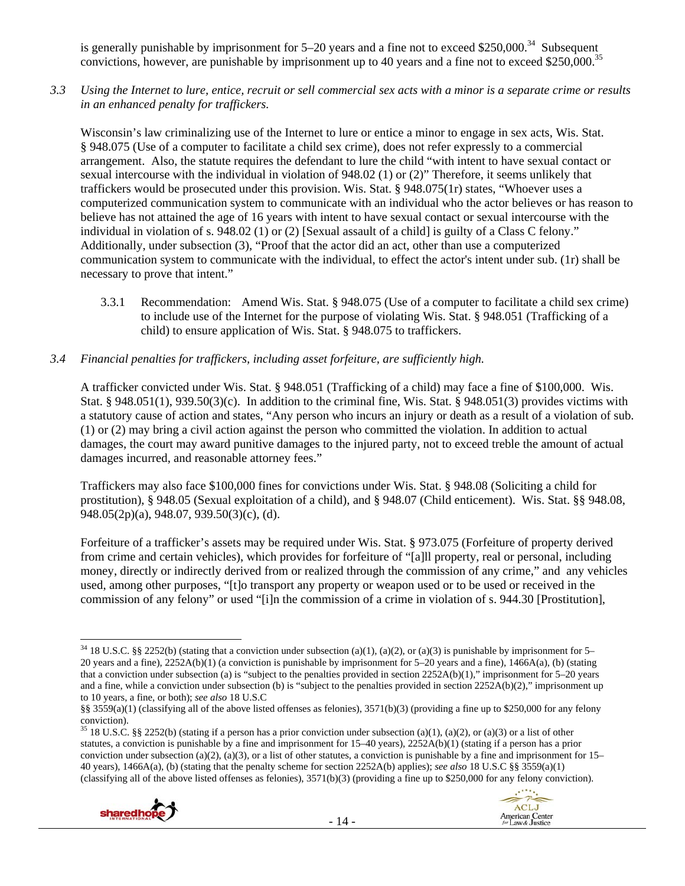is generally punishable by imprisonment for  $5-20$  years and a fine not to exceed \$250,000.<sup>34</sup> Subsequent convictions, however, are punishable by imprisonment up to 40 years and a fine not to exceed \$250,000.<sup>35</sup>

*3.3 Using the Internet to lure, entice, recruit or sell commercial sex acts with a minor is a separate crime or results in an enhanced penalty for traffickers.* 

Wisconsin's law criminalizing use of the Internet to lure or entice a minor to engage in sex acts, Wis. Stat. § 948.075 (Use of a computer to facilitate a child sex crime), does not refer expressly to a commercial arrangement. Also, the statute requires the defendant to lure the child "with intent to have sexual contact or sexual intercourse with the individual in violation of 948.02 (1) or (2)" Therefore, it seems unlikely that traffickers would be prosecuted under this provision. Wis. Stat. § 948.075(1r) states, "Whoever uses a computerized communication system to communicate with an individual who the actor believes or has reason to believe has not attained the age of 16 years with intent to have sexual contact or sexual intercourse with the individual in violation of s. 948.02 (1) or (2) [Sexual assault of a child] is guilty of a Class C felony." Additionally, under subsection (3), "Proof that the actor did an act, other than use a computerized communication system to communicate with the individual, to effect the actor's intent under sub. (1r) shall be necessary to prove that intent."

- 3.3.1 Recommendation: Amend Wis. Stat. § 948.075 (Use of a computer to facilitate a child sex crime) to include use of the Internet for the purpose of violating Wis. Stat. § 948.051 (Trafficking of a child) to ensure application of Wis. Stat. § 948.075 to traffickers.
- *3.4 Financial penalties for traffickers, including asset forfeiture, are sufficiently high.*

A trafficker convicted under Wis. Stat. § 948.051 (Trafficking of a child) may face a fine of \$100,000. Wis. Stat. § 948.051(1), 939.50(3)(c). In addition to the criminal fine, Wis. Stat. § 948.051(3) provides victims with a statutory cause of action and states, "Any person who incurs an injury or death as a result of a violation of sub. (1) or (2) may bring a civil action against the person who committed the violation. In addition to actual damages, the court may award punitive damages to the injured party, not to exceed treble the amount of actual damages incurred, and reasonable attorney fees."

Traffickers may also face \$100,000 fines for convictions under Wis. Stat. § 948.08 (Soliciting a child for prostitution), § 948.05 (Sexual exploitation of a child), and § 948.07 (Child enticement). Wis. Stat. §§ 948.08, 948.05(2p)(a), 948.07, 939.50(3)(c), (d).

Forfeiture of a trafficker's assets may be required under Wis. Stat. § 973.075 (Forfeiture of property derived from crime and certain vehicles), which provides for forfeiture of "[a]ll property, real or personal, including money, directly or indirectly derived from or realized through the commission of any crime," and any vehicles used, among other purposes, "[t]o transport any property or weapon used or to be used or received in the commission of any felony" or used "[i]n the commission of a crime in violation of s. 944.30 [Prostitution],

<sup>&</sup>lt;sup>35</sup> 18 U.S.C. §§ 2252(b) (stating if a person has a prior conviction under subsection (a)(1), (a)(2), or (a)(3) or a list of other statutes, a conviction is punishable by a fine and imprisonment for 15–40 years), 2252A(b)(1) (stating if a person has a prior conviction under subsection (a)(2), (a)(3), or a list of other statutes, a conviction is punishable by a fine and imprisonment for  $15-$ 40 years), 1466A(a), (b) (stating that the penalty scheme for section 2252A(b) applies); *see also* 18 U.S.C §§ 3559(a)(1) (classifying all of the above listed offenses as felonies), 3571(b)(3) (providing a fine up to \$250,000 for any felony conviction).





 <sup>34</sup> 18 U.S.C. §§ 2252(b) (stating that a conviction under subsection (a)(1), (a)(2), or (a)(3) is punishable by imprisonment for 5– 20 years and a fine), 2252A(b)(1) (a conviction is punishable by imprisonment for 5–20 years and a fine), 1466A(a), (b) (stating that a conviction under subsection (a) is "subject to the penalties provided in section 2252A(b)(1)," imprisonment for 5–20 years and a fine, while a conviction under subsection (b) is "subject to the penalties provided in section  $2252A(b)(2)$ ," imprisonment up to 10 years, a fine, or both); *see also* 18 U.S.C

<sup>§§ 3559(</sup>a)(1) (classifying all of the above listed offenses as felonies), 3571(b)(3) (providing a fine up to \$250,000 for any felony conviction).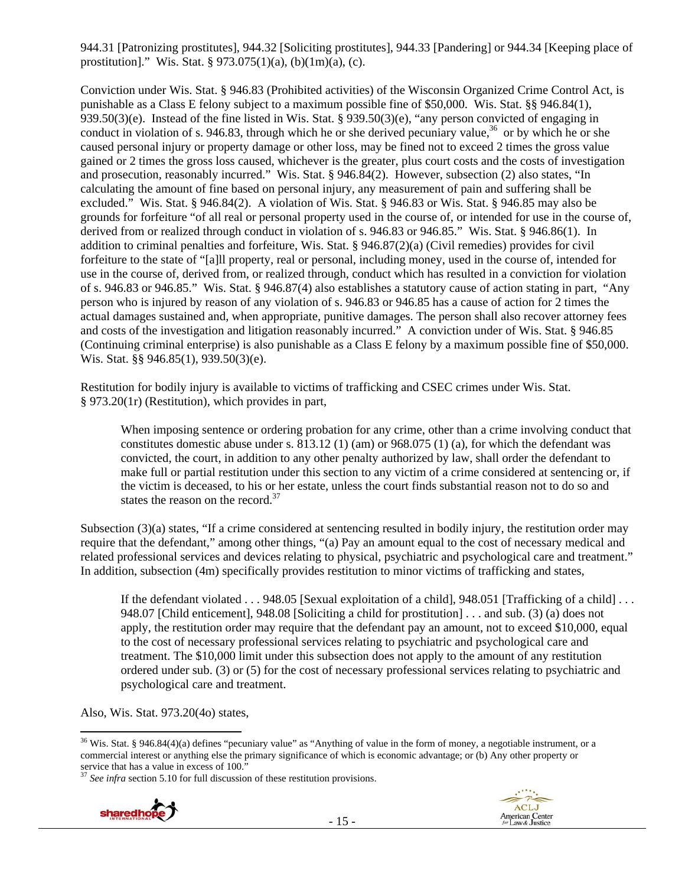944.31 [Patronizing prostitutes], 944.32 [Soliciting prostitutes], 944.33 [Pandering] or 944.34 [Keeping place of prostitution]." Wis. Stat. § 973.075(1)(a), (b)(1m)(a), (c).

Conviction under Wis. Stat. § 946.83 (Prohibited activities) of the Wisconsin Organized Crime Control Act, is punishable as a Class E felony subject to a maximum possible fine of \$50,000. Wis. Stat. §§ 946.84(1), 939.50(3)(e). Instead of the fine listed in Wis. Stat. § 939.50(3)(e), "any person convicted of engaging in conduct in violation of s. 946.83, through which he or she derived pecuniary value,<sup>36</sup> or by which he or she caused personal injury or property damage or other loss, may be fined not to exceed 2 times the gross value gained or 2 times the gross loss caused, whichever is the greater, plus court costs and the costs of investigation and prosecution, reasonably incurred." Wis. Stat. § 946.84(2). However, subsection (2) also states, "In calculating the amount of fine based on personal injury, any measurement of pain and suffering shall be excluded." Wis. Stat. § 946.84(2). A violation of Wis. Stat. § 946.83 or Wis. Stat. § 946.85 may also be grounds for forfeiture "of all real or personal property used in the course of, or intended for use in the course of, derived from or realized through conduct in violation of s. 946.83 or 946.85." Wis. Stat. § 946.86(1). In addition to criminal penalties and forfeiture, Wis. Stat. § 946.87(2)(a) (Civil remedies) provides for civil forfeiture to the state of "[a]ll property, real or personal, including money, used in the course of, intended for use in the course of, derived from, or realized through, conduct which has resulted in a conviction for violation of s. 946.83 or 946.85." Wis. Stat. § 946.87(4) also establishes a statutory cause of action stating in part, "Any person who is injured by reason of any violation of s. 946.83 or 946.85 has a cause of action for 2 times the actual damages sustained and, when appropriate, punitive damages. The person shall also recover attorney fees and costs of the investigation and litigation reasonably incurred." A conviction under of Wis. Stat. § 946.85 (Continuing criminal enterprise) is also punishable as a Class E felony by a maximum possible fine of \$50,000. Wis. Stat. §§ 946.85(1), 939.50(3)(e).

Restitution for bodily injury is available to victims of trafficking and CSEC crimes under Wis. Stat. § 973.20(1r) (Restitution), which provides in part,

When imposing sentence or ordering probation for any crime, other than a crime involving conduct that constitutes domestic abuse under s.  $813.12$  (1) (am) or  $968.075$  (1) (a), for which the defendant was convicted, the court, in addition to any other penalty authorized by law, shall order the defendant to make full or partial restitution under this section to any victim of a crime considered at sentencing or, if the victim is deceased, to his or her estate, unless the court finds substantial reason not to do so and states the reason on the record. $37$ 

Subsection (3)(a) states, "If a crime considered at sentencing resulted in bodily injury, the restitution order may require that the defendant," among other things, "(a) Pay an amount equal to the cost of necessary medical and related professional services and devices relating to physical, psychiatric and psychological care and treatment." In addition, subsection (4m) specifically provides restitution to minor victims of trafficking and states,

If the defendant violated . . . 948.05 [Sexual exploitation of a child], 948.051 [Trafficking of a child] . . . 948.07 [Child enticement], 948.08 [Soliciting a child for prostitution] . . . and sub. (3) (a) does not apply, the restitution order may require that the defendant pay an amount, not to exceed \$10,000, equal to the cost of necessary professional services relating to psychiatric and psychological care and treatment. The \$10,000 limit under this subsection does not apply to the amount of any restitution ordered under sub. (3) or (5) for the cost of necessary professional services relating to psychiatric and psychological care and treatment.

Also, Wis. Stat. 973.20(4o) states,

<sup>&</sup>lt;sup>37</sup> *See infra* section 5.10 for full discussion of these restitution provisions.





  $36$  Wis. Stat. § 946.84(4)(a) defines "pecuniary value" as "Anything of value in the form of money, a negotiable instrument, or a commercial interest or anything else the primary significance of which is economic advantage; or (b) Any other property or service that has a value in excess of 100."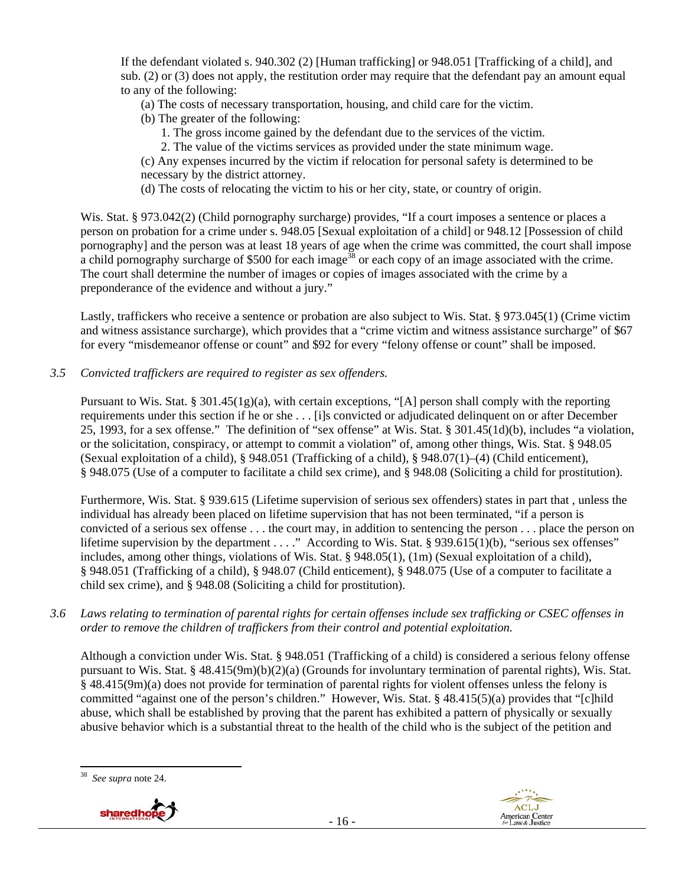If the defendant violated s. 940.302 (2) [Human trafficking] or 948.051 [Trafficking of a child], and sub. (2) or (3) does not apply, the restitution order may require that the defendant pay an amount equal to any of the following:

- (a) The costs of necessary transportation, housing, and child care for the victim.
- (b) The greater of the following:
	- 1. The gross income gained by the defendant due to the services of the victim.
	- 2. The value of the victims services as provided under the state minimum wage.

(c) Any expenses incurred by the victim if relocation for personal safety is determined to be necessary by the district attorney.

(d) The costs of relocating the victim to his or her city, state, or country of origin.

Wis. Stat. § 973.042(2) (Child pornography surcharge) provides, "If a court imposes a sentence or places a person on probation for a crime under s. 948.05 [Sexual exploitation of a child] or 948.12 [Possession of child pornography] and the person was at least 18 years of age when the crime was committed, the court shall impose a child pornography surcharge of \$500 for each image<sup>38</sup> or each copy of an image associated with the crime. The court shall determine the number of images or copies of images associated with the crime by a preponderance of the evidence and without a jury."

Lastly, traffickers who receive a sentence or probation are also subject to Wis. Stat. § 973.045(1) (Crime victim and witness assistance surcharge), which provides that a "crime victim and witness assistance surcharge" of \$67 for every "misdemeanor offense or count" and \$92 for every "felony offense or count" shall be imposed.

*3.5 Convicted traffickers are required to register as sex offenders.* 

Pursuant to Wis. Stat. § 301.45(1g)(a), with certain exceptions, "[A] person shall comply with the reporting requirements under this section if he or she . . . [i]s convicted or adjudicated delinquent on or after December 25, 1993, for a sex offense." The definition of "sex offense" at Wis. Stat. § 301.45(1d)(b), includes "a violation, or the solicitation, conspiracy, or attempt to commit a violation" of, among other things, Wis. Stat. § 948.05 (Sexual exploitation of a child), § 948.051 (Trafficking of a child), § 948.07(1)–(4) (Child enticement), § 948.075 (Use of a computer to facilitate a child sex crime), and § 948.08 (Soliciting a child for prostitution).

Furthermore, Wis. Stat. § 939.615 (Lifetime supervision of serious sex offenders) states in part that , unless the individual has already been placed on lifetime supervision that has not been terminated, "if a person is convicted of a serious sex offense . . . the court may, in addition to sentencing the person . . . place the person on lifetime supervision by the department . . . ." According to Wis. Stat. § 939.615(1)(b), "serious sex offenses" includes, among other things, violations of Wis. Stat. § 948.05(1), (1m) (Sexual exploitation of a child), § 948.051 (Trafficking of a child), § 948.07 (Child enticement), § 948.075 (Use of a computer to facilitate a child sex crime), and § 948.08 (Soliciting a child for prostitution).

#### *3.6 Laws relating to termination of parental rights for certain offenses include sex trafficking or CSEC offenses in order to remove the children of traffickers from their control and potential exploitation.*

Although a conviction under Wis. Stat. § 948.051 (Trafficking of a child) is considered a serious felony offense pursuant to Wis. Stat. § 48.415(9m)(b)(2)(a) (Grounds for involuntary termination of parental rights), Wis. Stat. § 48.415(9m)(a) does not provide for termination of parental rights for violent offenses unless the felony is committed "against one of the person's children." However, Wis. Stat. § 48.415(5)(a) provides that "[c]hild abuse, which shall be established by proving that the parent has exhibited a pattern of physically or sexually abusive behavior which is a substantial threat to the health of the child who is the subject of the petition and

 See supra note 24.

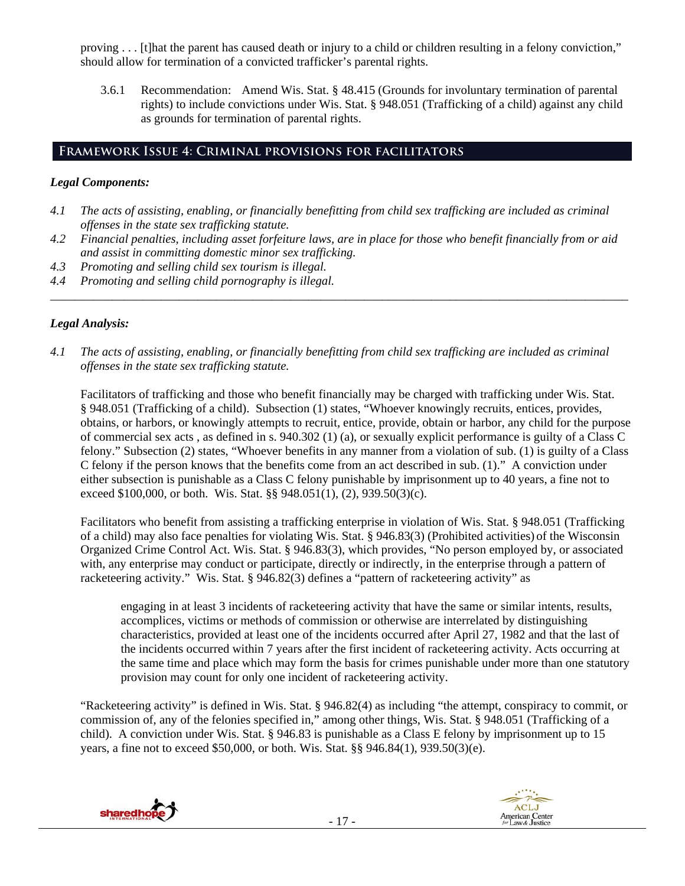proving . . . [t]hat the parent has caused death or injury to a child or children resulting in a felony conviction," should allow for termination of a convicted trafficker's parental rights.

3.6.1 Recommendation: Amend Wis. Stat. § 48.415 (Grounds for involuntary termination of parental rights) to include convictions under Wis. Stat. § 948.051 (Trafficking of a child) against any child as grounds for termination of parental rights.

# **Framework Issue 4: Criminal provisions for facilitators**

# *Legal Components:*

- *4.1 The acts of assisting, enabling, or financially benefitting from child sex trafficking are included as criminal offenses in the state sex trafficking statute.*
- *4.2 Financial penalties, including asset forfeiture laws, are in place for those who benefit financially from or aid and assist in committing domestic minor sex trafficking.*

*\_\_\_\_\_\_\_\_\_\_\_\_\_\_\_\_\_\_\_\_\_\_\_\_\_\_\_\_\_\_\_\_\_\_\_\_\_\_\_\_\_\_\_\_\_\_\_\_\_\_\_\_\_\_\_\_\_\_\_\_\_\_\_\_\_\_\_\_\_\_\_\_\_\_\_\_\_\_\_\_\_\_\_\_\_\_\_\_\_\_\_\_\_\_* 

- *4.3 Promoting and selling child sex tourism is illegal.*
- *4.4 Promoting and selling child pornography is illegal.*

# *Legal Analysis:*

*4.1 The acts of assisting, enabling, or financially benefitting from child sex trafficking are included as criminal offenses in the state sex trafficking statute.* 

Facilitators of trafficking and those who benefit financially may be charged with trafficking under Wis. Stat. § 948.051 (Trafficking of a child). Subsection (1) states, "Whoever knowingly recruits, entices, provides, obtains, or harbors, or knowingly attempts to recruit, entice, provide, obtain or harbor, any child for the purpose of commercial sex acts , as defined in s. 940.302 (1) (a), or sexually explicit performance is guilty of a Class C felony." Subsection (2) states, "Whoever benefits in any manner from a violation of sub. (1) is guilty of a Class C felony if the person knows that the benefits come from an act described in sub. (1)." A conviction under either subsection is punishable as a Class C felony punishable by imprisonment up to 40 years, a fine not to exceed \$100,000, or both. Wis. Stat. §§ 948.051(1), (2), 939.50(3)(c).

Facilitators who benefit from assisting a trafficking enterprise in violation of Wis. Stat. § 948.051 (Trafficking of a child) may also face penalties for violating Wis. Stat. § 946.83(3) (Prohibited activities) of the Wisconsin Organized Crime Control Act. Wis. Stat. § 946.83(3), which provides, "No person employed by, or associated with, any enterprise may conduct or participate, directly or indirectly, in the enterprise through a pattern of racketeering activity." Wis. Stat. § 946.82(3) defines a "pattern of racketeering activity" as

engaging in at least 3 incidents of racketeering activity that have the same or similar intents, results, accomplices, victims or methods of commission or otherwise are interrelated by distinguishing characteristics, provided at least one of the incidents occurred after April 27, 1982 and that the last of the incidents occurred within 7 years after the first incident of racketeering activity. Acts occurring at the same time and place which may form the basis for crimes punishable under more than one statutory provision may count for only one incident of racketeering activity.

"Racketeering activity" is defined in Wis. Stat. § 946.82(4) as including "the attempt, conspiracy to commit, or commission of, any of the felonies specified in," among other things, Wis. Stat. § 948.051 (Trafficking of a child). A conviction under Wis. Stat. § 946.83 is punishable as a Class E felony by imprisonment up to 15 years, a fine not to exceed \$50,000, or both. Wis. Stat. §§ 946.84(1), 939.50(3)(e).



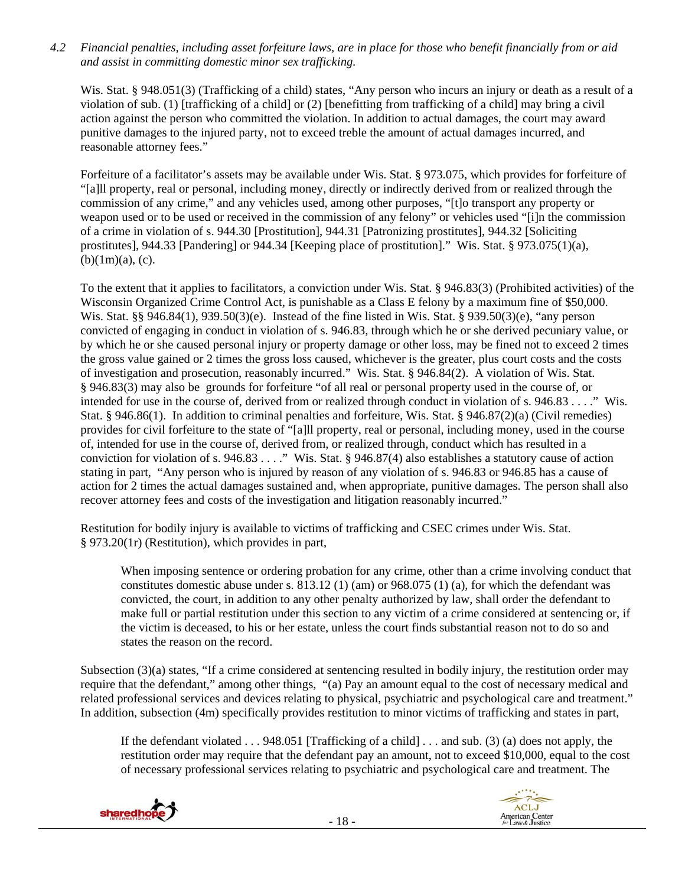*4.2 Financial penalties, including asset forfeiture laws, are in place for those who benefit financially from or aid and assist in committing domestic minor sex trafficking.* 

Wis. Stat. § 948.051(3) (Trafficking of a child) states, "Any person who incurs an injury or death as a result of a violation of sub. (1) [trafficking of a child] or (2) [benefitting from trafficking of a child] may bring a civil action against the person who committed the violation. In addition to actual damages, the court may award punitive damages to the injured party, not to exceed treble the amount of actual damages incurred, and reasonable attorney fees."

Forfeiture of a facilitator's assets may be available under Wis. Stat. § 973.075, which provides for forfeiture of "[a]ll property, real or personal, including money, directly or indirectly derived from or realized through the commission of any crime," and any vehicles used, among other purposes, "[t]o transport any property or weapon used or to be used or received in the commission of any felony" or vehicles used "[i]n the commission of a crime in violation of s. 944.30 [Prostitution], 944.31 [Patronizing prostitutes], 944.32 [Soliciting prostitutes], 944.33 [Pandering] or 944.34 [Keeping place of prostitution]." Wis. Stat. § 973.075(1)(a),  $(b)(1m)(a)$ ,  $(c)$ .

To the extent that it applies to facilitators, a conviction under Wis. Stat. § 946.83(3) (Prohibited activities) of the Wisconsin Organized Crime Control Act, is punishable as a Class E felony by a maximum fine of \$50,000. Wis. Stat. §§ 946.84(1), 939.50(3)(e). Instead of the fine listed in Wis. Stat. § 939.50(3)(e), "any person convicted of engaging in conduct in violation of s. 946.83, through which he or she derived pecuniary value, or by which he or she caused personal injury or property damage or other loss, may be fined not to exceed 2 times the gross value gained or 2 times the gross loss caused, whichever is the greater, plus court costs and the costs of investigation and prosecution, reasonably incurred." Wis. Stat. § 946.84(2). A violation of Wis. Stat. § 946.83(3) may also be grounds for forfeiture "of all real or personal property used in the course of, or intended for use in the course of, derived from or realized through conduct in violation of s. 946.83 . . . ." Wis. Stat. § 946.86(1). In addition to criminal penalties and forfeiture, Wis. Stat. § 946.87(2)(a) (Civil remedies) provides for civil forfeiture to the state of "[a]ll property, real or personal, including money, used in the course of, intended for use in the course of, derived from, or realized through, conduct which has resulted in a conviction for violation of s. 946.83 . . . ." Wis. Stat. § 946.87(4) also establishes a statutory cause of action stating in part, "Any person who is injured by reason of any violation of s. 946.83 or 946.85 has a cause of action for 2 times the actual damages sustained and, when appropriate, punitive damages. The person shall also recover attorney fees and costs of the investigation and litigation reasonably incurred."

Restitution for bodily injury is available to victims of trafficking and CSEC crimes under Wis. Stat. § 973.20(1r) (Restitution), which provides in part,

When imposing sentence or ordering probation for any crime, other than a crime involving conduct that constitutes domestic abuse under s. 813.12 (1) (am) or 968.075 (1) (a), for which the defendant was convicted, the court, in addition to any other penalty authorized by law, shall order the defendant to make full or partial restitution under this section to any victim of a crime considered at sentencing or, if the victim is deceased, to his or her estate, unless the court finds substantial reason not to do so and states the reason on the record.

Subsection (3)(a) states, "If a crime considered at sentencing resulted in bodily injury, the restitution order may require that the defendant," among other things, "(a) Pay an amount equal to the cost of necessary medical and related professional services and devices relating to physical, psychiatric and psychological care and treatment." In addition, subsection (4m) specifically provides restitution to minor victims of trafficking and states in part,

If the defendant violated  $\dots$  948.051 [Trafficking of a child]  $\dots$  and sub. (3) (a) does not apply, the restitution order may require that the defendant pay an amount, not to exceed \$10,000, equal to the cost of necessary professional services relating to psychiatric and psychological care and treatment. The

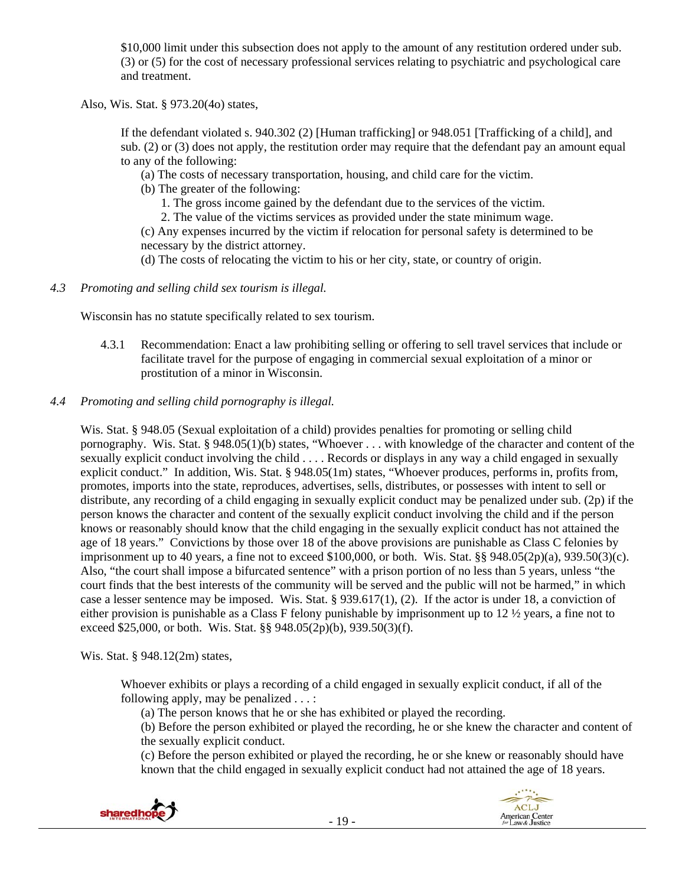\$10,000 limit under this subsection does not apply to the amount of any restitution ordered under sub. (3) or (5) for the cost of necessary professional services relating to psychiatric and psychological care and treatment.

Also, Wis. Stat. § 973.20(4o) states,

If the defendant violated s. 940.302 (2) [Human trafficking] or 948.051 [Trafficking of a child], and sub. (2) or (3) does not apply, the restitution order may require that the defendant pay an amount equal to any of the following:

(a) The costs of necessary transportation, housing, and child care for the victim.

(b) The greater of the following:

1. The gross income gained by the defendant due to the services of the victim.

2. The value of the victims services as provided under the state minimum wage.

(c) Any expenses incurred by the victim if relocation for personal safety is determined to be necessary by the district attorney.

(d) The costs of relocating the victim to his or her city, state, or country of origin.

*4.3 Promoting and selling child sex tourism is illegal.* 

Wisconsin has no statute specifically related to sex tourism.

- 4.3.1 Recommendation: Enact a law prohibiting selling or offering to sell travel services that include or facilitate travel for the purpose of engaging in commercial sexual exploitation of a minor or prostitution of a minor in Wisconsin.
- *4.4 Promoting and selling child pornography is illegal.*

Wis. Stat. § 948.05 (Sexual exploitation of a child) provides penalties for promoting or selling child pornography. Wis. Stat. § 948.05(1)(b) states, "Whoever . . . with knowledge of the character and content of the sexually explicit conduct involving the child . . . . Records or displays in any way a child engaged in sexually explicit conduct." In addition, Wis. Stat. § 948.05(1m) states, "Whoever produces, performs in, profits from, promotes, imports into the state, reproduces, advertises, sells, distributes, or possesses with intent to sell or distribute, any recording of a child engaging in sexually explicit conduct may be penalized under sub. (2p) if the person knows the character and content of the sexually explicit conduct involving the child and if the person knows or reasonably should know that the child engaging in the sexually explicit conduct has not attained the age of 18 years." Convictions by those over 18 of the above provisions are punishable as Class C felonies by imprisonment up to 40 years, a fine not to exceed  $$100,000$ , or both. Wis. Stat. §§  $948.05(2p)(a)$ ,  $939.50(3)(c)$ . Also, "the court shall impose a bifurcated sentence" with a prison portion of no less than 5 years, unless "the court finds that the best interests of the community will be served and the public will not be harmed," in which case a lesser sentence may be imposed. Wis. Stat. § 939.617(1), (2). If the actor is under 18, a conviction of either provision is punishable as a Class F felony punishable by imprisonment up to 12 ½ years, a fine not to exceed \$25,000, or both. Wis. Stat. §§ 948.05(2p)(b), 939.50(3)(f).

Wis. Stat. § 948.12(2m) states,

Whoever exhibits or plays a recording of a child engaged in sexually explicit conduct, if all of the following apply, may be penalized . . . :

(a) The person knows that he or she has exhibited or played the recording.

(b) Before the person exhibited or played the recording, he or she knew the character and content of the sexually explicit conduct.

(c) Before the person exhibited or played the recording, he or she knew or reasonably should have known that the child engaged in sexually explicit conduct had not attained the age of 18 years.



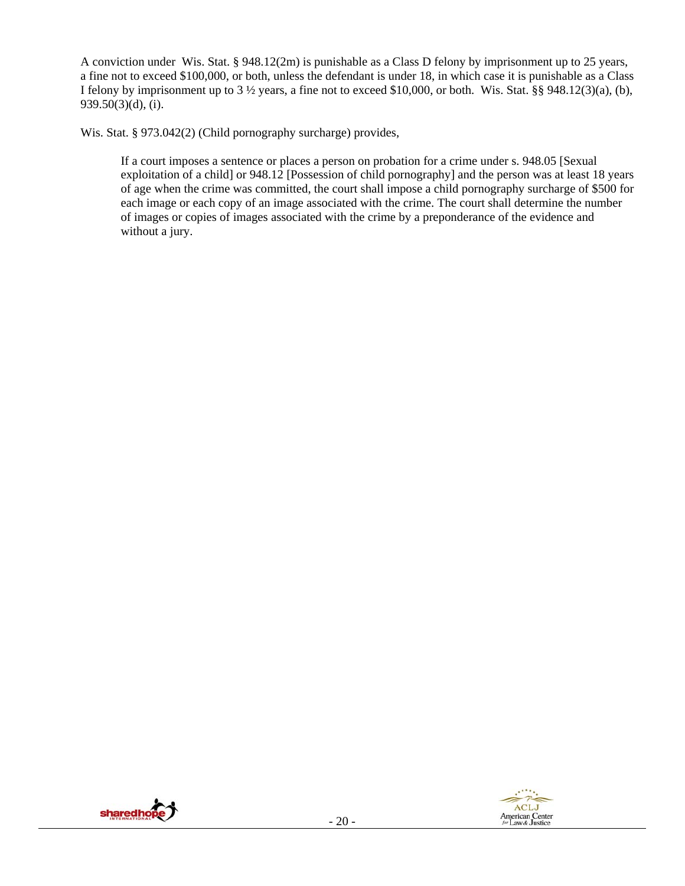A conviction under Wis. Stat. § 948.12(2m) is punishable as a Class D felony by imprisonment up to 25 years, a fine not to exceed \$100,000, or both, unless the defendant is under 18, in which case it is punishable as a Class I felony by imprisonment up to 3 ½ years, a fine not to exceed \$10,000, or both. Wis. Stat. §§ 948.12(3)(a), (b), 939.50(3)(d), (i).

Wis. Stat. § 973.042(2) (Child pornography surcharge) provides,

If a court imposes a sentence or places a person on probation for a crime under s. 948.05 [Sexual exploitation of a child] or 948.12 [Possession of child pornography] and the person was at least 18 years of age when the crime was committed, the court shall impose a child pornography surcharge of \$500 for each image or each copy of an image associated with the crime. The court shall determine the number of images or copies of images associated with the crime by a preponderance of the evidence and without a jury.



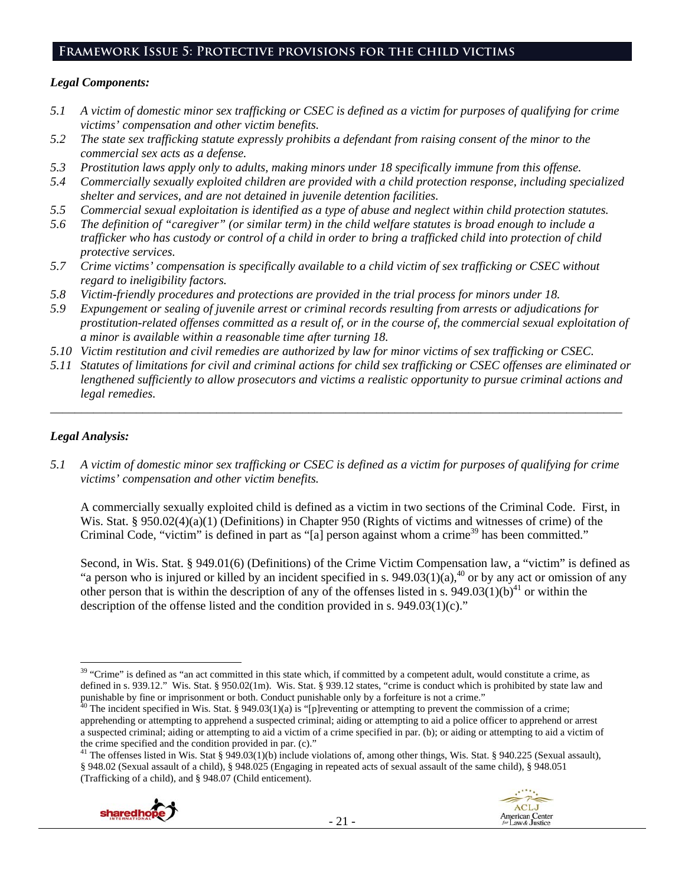## **Framework Issue 5: Protective provisions for the child victims**

#### *Legal Components:*

- *5.1 A victim of domestic minor sex trafficking or CSEC is defined as a victim for purposes of qualifying for crime victims' compensation and other victim benefits.*
- *5.2 The state sex trafficking statute expressly prohibits a defendant from raising consent of the minor to the commercial sex acts as a defense.*
- *5.3 Prostitution laws apply only to adults, making minors under 18 specifically immune from this offense.*
- *5.4 Commercially sexually exploited children are provided with a child protection response, including specialized shelter and services, and are not detained in juvenile detention facilities.*
- *5.5 Commercial sexual exploitation is identified as a type of abuse and neglect within child protection statutes.*
- *5.6 The definition of "caregiver" (or similar term) in the child welfare statutes is broad enough to include a trafficker who has custody or control of a child in order to bring a trafficked child into protection of child protective services.*
- *5.7 Crime victims' compensation is specifically available to a child victim of sex trafficking or CSEC without regard to ineligibility factors.*
- *5.8 Victim-friendly procedures and protections are provided in the trial process for minors under 18.*
- *5.9 Expungement or sealing of juvenile arrest or criminal records resulting from arrests or adjudications for prostitution-related offenses committed as a result of, or in the course of, the commercial sexual exploitation of a minor is available within a reasonable time after turning 18.*
- *5.10 Victim restitution and civil remedies are authorized by law for minor victims of sex trafficking or CSEC.*
- *5.11 Statutes of limitations for civil and criminal actions for child sex trafficking or CSEC offenses are eliminated or lengthened sufficiently to allow prosecutors and victims a realistic opportunity to pursue criminal actions and legal remedies.*

*\_\_\_\_\_\_\_\_\_\_\_\_\_\_\_\_\_\_\_\_\_\_\_\_\_\_\_\_\_\_\_\_\_\_\_\_\_\_\_\_\_\_\_\_\_\_\_\_\_\_\_\_\_\_\_\_\_\_\_\_\_\_\_\_\_\_\_\_\_\_\_\_\_\_\_\_\_\_\_\_\_\_\_\_\_\_\_\_\_\_\_\_\_* 

## *Legal Analysis:*

*5.1 A victim of domestic minor sex trafficking or CSEC is defined as a victim for purposes of qualifying for crime victims' compensation and other victim benefits.* 

A commercially sexually exploited child is defined as a victim in two sections of the Criminal Code. First, in Wis. Stat. § 950.02(4)(a)(1) (Definitions) in Chapter 950 (Rights of victims and witnesses of crime) of the Criminal Code, "victim" is defined in part as "[a] person against whom a crime<sup>39</sup> has been committed."

Second, in Wis. Stat. § 949.01(6) (Definitions) of the Crime Victim Compensation law, a "victim" is defined as "a person who is injured or killed by an incident specified in s. 949.03(1)(a),<sup>40</sup> or by any act or omission of any other person that is within the description of any of the offenses listed in s.  $949.03(1)(b)^{41}$  or within the description of the offense listed and the condition provided in s.  $949.03(1)(c)$ ."

<sup>&</sup>lt;sup>41</sup> The offenses listed in Wis. Stat § 949.03(1)(b) include violations of, among other things, Wis. Stat. § 940.225 (Sexual assault), § 948.02 (Sexual assault of a child), § 948.025 (Engaging in repeated acts of sexual assault of the same child), § 948.051 (Trafficking of a child), and § 948.07 (Child enticement).



<sup>&</sup>lt;sup>39</sup> "Crime" is defined as "an act committed in this state which, if committed by a competent adult, would constitute a crime, as defined in s. 939.12." Wis. Stat. § 950.02(1m). Wis. Stat. § 939.12 states, "crime is conduct which is prohibited by state law and punishable by fine or imprisonment or both. Conduct punishable only by a forfeiture is not a crime."<br><sup>40</sup> The incident specified in Wis. Stat. § 949.03(1)(a) is "[p]reventing or attempting to prevent the commission of a cr

apprehending or attempting to apprehend a suspected criminal; aiding or attempting to aid a police officer to apprehend or arrest a suspected criminal; aiding or attempting to aid a victim of a crime specified in par. (b); or aiding or attempting to aid a victim of the crime specified and the condition provided in par. (c)."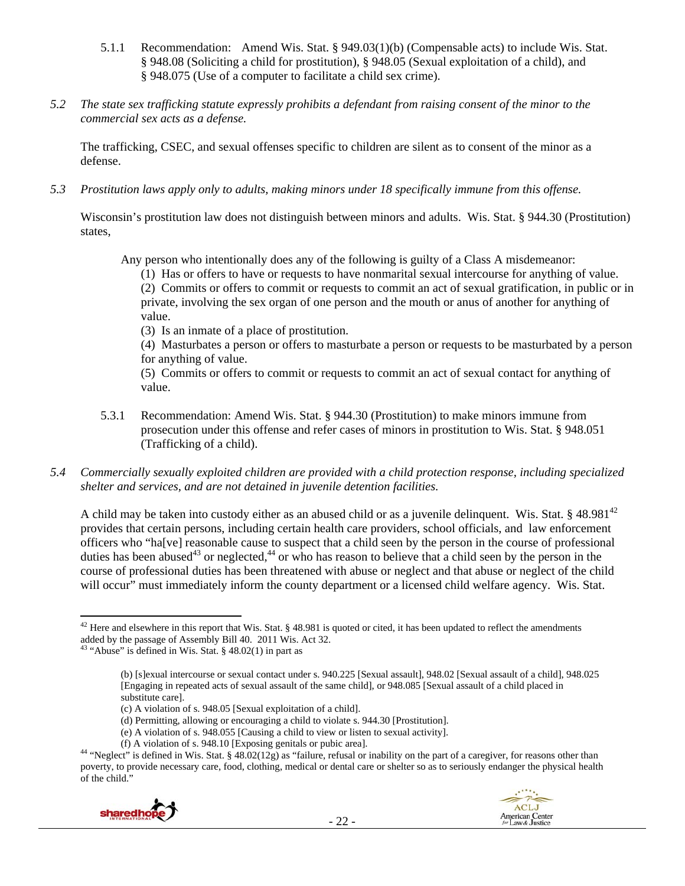- 5.1.1 Recommendation: Amend Wis. Stat. § 949.03(1)(b) (Compensable acts) to include Wis. Stat. § 948.08 (Soliciting a child for prostitution), § 948.05 (Sexual exploitation of a child), and § 948.075 (Use of a computer to facilitate a child sex crime).
- *5.2 The state sex trafficking statute expressly prohibits a defendant from raising consent of the minor to the commercial sex acts as a defense.*

The trafficking, CSEC, and sexual offenses specific to children are silent as to consent of the minor as a defense.

*5.3 Prostitution laws apply only to adults, making minors under 18 specifically immune from this offense.* 

Wisconsin's prostitution law does not distinguish between minors and adults. Wis. Stat. § 944.30 (Prostitution) states,

Any person who intentionally does any of the following is guilty of a Class A misdemeanor:

(1) Has or offers to have or requests to have nonmarital sexual intercourse for anything of value.

(2) Commits or offers to commit or requests to commit an act of sexual gratification, in public or in private, involving the sex organ of one person and the mouth or anus of another for anything of value.

(3) Is an inmate of a place of prostitution.

(4) Masturbates a person or offers to masturbate a person or requests to be masturbated by a person for anything of value.

(5) Commits or offers to commit or requests to commit an act of sexual contact for anything of value.

- 5.3.1 Recommendation: Amend Wis. Stat. § 944.30 (Prostitution) to make minors immune from prosecution under this offense and refer cases of minors in prostitution to Wis. Stat. § 948.051 (Trafficking of a child).
- *5.4 Commercially sexually exploited children are provided with a child protection response, including specialized shelter and services, and are not detained in juvenile detention facilities.*

A child may be taken into custody either as an abused child or as a juvenile delinquent. Wis. Stat. § 48.981<sup>42</sup> provides that certain persons, including certain health care providers, school officials, and law enforcement officers who "ha[ve] reasonable cause to suspect that a child seen by the person in the course of professional duties has been abused<sup>43</sup> or neglected,<sup>44</sup> or who has reason to believe that a child seen by the person in the course of professional duties has been threatened with abuse or neglect and that abuse or neglect of the child will occur" must immediately inform the county department or a licensed child welfare agency. Wis. Stat.

<sup>(</sup>f) A violation of s. 948.10 [Exposing genitals or pubic area]. 44 "Neglect" is defined in Wis. Stat. § 48.02(12g) as "failure, refusal or inability on the part of a caregiver, for reasons other than poverty, to provide necessary care, food, clothing, medical or dental care or shelter so as to seriously endanger the physical health of the child."



  $42$  Here and elsewhere in this report that Wis. Stat. § 48.981 is quoted or cited, it has been updated to reflect the amendments added by the passage of Assembly Bill 40. 2011 Wis. Act 32.

<sup>&</sup>lt;sup>43</sup> "Abuse" is defined in Wis. Stat. §  $48.02(1)$  in part as

<sup>(</sup>b) [s]exual intercourse or sexual contact under s. 940.225 [Sexual assault], 948.02 [Sexual assault of a child], 948.025 [Engaging in repeated acts of sexual assault of the same child], or 948.085 [Sexual assault of a child placed in substitute care].

<sup>(</sup>c) A violation of s. 948.05 [Sexual exploitation of a child].

<sup>(</sup>d) Permitting, allowing or encouraging a child to violate s. 944.30 [Prostitution].

<sup>(</sup>e) A violation of s. 948.055 [Causing a child to view or listen to sexual activity].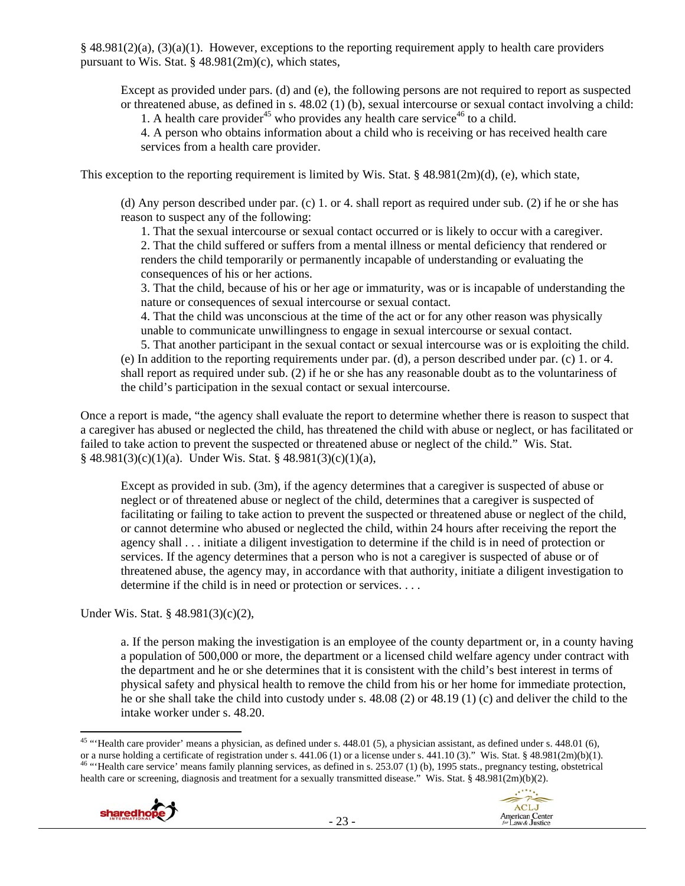$§$  48.981(2)(a), (3)(a)(1). However, exceptions to the reporting requirement apply to health care providers pursuant to Wis. Stat. § 48.981(2m)(c), which states,

Except as provided under pars. (d) and (e), the following persons are not required to report as suspected or threatened abuse, as defined in s. 48.02 (1) (b), sexual intercourse or sexual contact involving a child: 1. A health care provider<sup>45</sup> who provides any health care service<sup>46</sup> to a child.

4. A person who obtains information about a child who is receiving or has received health care services from a health care provider.

This exception to the reporting requirement is limited by Wis. Stat.  $\S$  48.981(2m)(d), (e), which state,

(d) Any person described under par. (c) 1. or 4. shall report as required under sub. (2) if he or she has reason to suspect any of the following:

1. That the sexual intercourse or sexual contact occurred or is likely to occur with a caregiver. 2. That the child suffered or suffers from a mental illness or mental deficiency that rendered or renders the child temporarily or permanently incapable of understanding or evaluating the consequences of his or her actions.

3. That the child, because of his or her age or immaturity, was or is incapable of understanding the nature or consequences of sexual intercourse or sexual contact.

4. That the child was unconscious at the time of the act or for any other reason was physically unable to communicate unwillingness to engage in sexual intercourse or sexual contact.

5. That another participant in the sexual contact or sexual intercourse was or is exploiting the child. (e) In addition to the reporting requirements under par. (d), a person described under par. (c) 1. or 4. shall report as required under sub. (2) if he or she has any reasonable doubt as to the voluntariness of the child's participation in the sexual contact or sexual intercourse.

Once a report is made, "the agency shall evaluate the report to determine whether there is reason to suspect that a caregiver has abused or neglected the child, has threatened the child with abuse or neglect, or has facilitated or failed to take action to prevent the suspected or threatened abuse or neglect of the child." Wis. Stat.  $§$  48.981(3)(c)(1)(a). Under Wis. Stat. § 48.981(3)(c)(1)(a),

Except as provided in sub. (3m), if the agency determines that a caregiver is suspected of abuse or neglect or of threatened abuse or neglect of the child, determines that a caregiver is suspected of facilitating or failing to take action to prevent the suspected or threatened abuse or neglect of the child, or cannot determine who abused or neglected the child, within 24 hours after receiving the report the agency shall . . . initiate a diligent investigation to determine if the child is in need of protection or services. If the agency determines that a person who is not a caregiver is suspected of abuse or of threatened abuse, the agency may, in accordance with that authority, initiate a diligent investigation to determine if the child is in need or protection or services. . . .

Under Wis. Stat. § 48.981(3)(c)(2),

a. If the person making the investigation is an employee of the county department or, in a county having a population of 500,000 or more, the department or a licensed child welfare agency under contract with the department and he or she determines that it is consistent with the child's best interest in terms of physical safety and physical health to remove the child from his or her home for immediate protection, he or she shall take the child into custody under s. 48.08 (2) or 48.19 (1) (c) and deliver the child to the intake worker under s. 48.20.

 <sup>45</sup> "Health care provider' means a physician, as defined under s.  $448.01$  (5), a physician assistant, as defined under s.  $448.01$  (6), or a nurse holding a certificate of registration under s. 441.06 (1) or a license under s. 441.10 (3)." Wis. Stat. § 48.981(2m)(b)(1).  $^{46}$  "Health care service' means family planning services, as defined in s. 253.07 ( health care or screening, diagnosis and treatment for a sexually transmitted disease." Wis. Stat. § 48.981(2m)(b)(2).



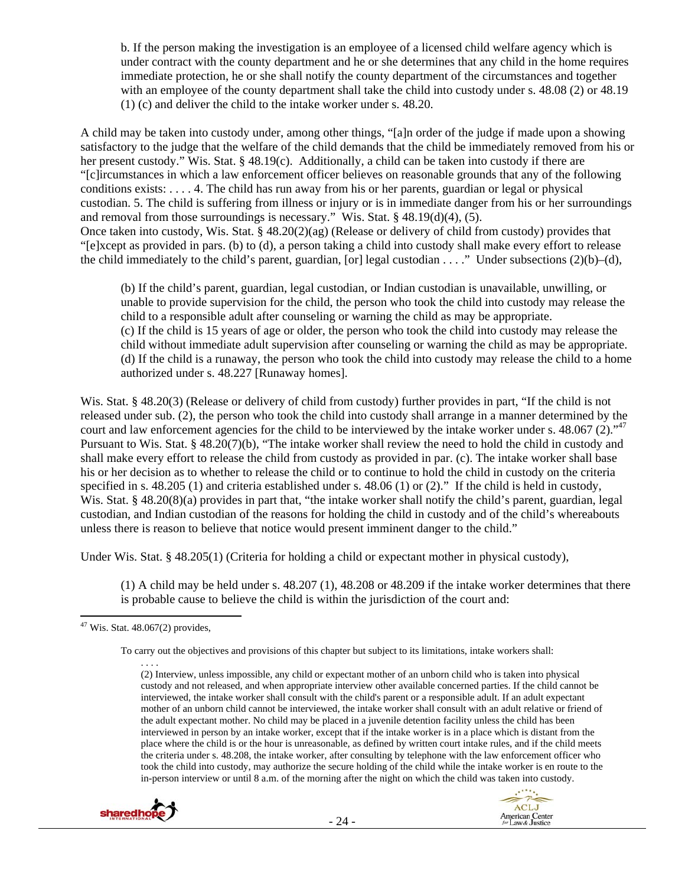b. If the person making the investigation is an employee of a licensed child welfare agency which is under contract with the county department and he or she determines that any child in the home requires immediate protection, he or she shall notify the county department of the circumstances and together with an employee of the county department shall take the child into custody under s. 48.08 (2) or 48.19 (1) (c) and deliver the child to the intake worker under s. 48.20.

A child may be taken into custody under, among other things, "[a]n order of the judge if made upon a showing satisfactory to the judge that the welfare of the child demands that the child be immediately removed from his or her present custody." Wis. Stat. § 48.19(c). Additionally, a child can be taken into custody if there are "[c]ircumstances in which a law enforcement officer believes on reasonable grounds that any of the following conditions exists: . . . . 4. The child has run away from his or her parents, guardian or legal or physical custodian. 5. The child is suffering from illness or injury or is in immediate danger from his or her surroundings and removal from those surroundings is necessary." Wis. Stat. § 48.19(d)(4), (5). Once taken into custody, Wis. Stat. § 48.20(2)(ag) (Release or delivery of child from custody) provides that "[e]xcept as provided in pars. (b) to (d), a person taking a child into custody shall make every effort to release the child immediately to the child's parent, guardian, [or] legal custodian  $\dots$ ." Under subsections (2)(b)–(d),

(b) If the child's parent, guardian, legal custodian, or Indian custodian is unavailable, unwilling, or unable to provide supervision for the child, the person who took the child into custody may release the child to a responsible adult after counseling or warning the child as may be appropriate. (c) If the child is 15 years of age or older, the person who took the child into custody may release the child without immediate adult supervision after counseling or warning the child as may be appropriate. (d) If the child is a runaway, the person who took the child into custody may release the child to a home authorized under s. 48.227 [Runaway homes].

Wis. Stat. § 48.20(3) (Release or delivery of child from custody) further provides in part, "If the child is not released under sub. (2), the person who took the child into custody shall arrange in a manner determined by the court and law enforcement agencies for the child to be interviewed by the intake worker under s.  $48.067 (2).$ <sup>47</sup> Pursuant to Wis. Stat. § 48.20(7)(b), "The intake worker shall review the need to hold the child in custody and shall make every effort to release the child from custody as provided in par. (c). The intake worker shall base his or her decision as to whether to release the child or to continue to hold the child in custody on the criteria specified in s. 48.205 (1) and criteria established under s. 48.06 (1) or (2)." If the child is held in custody, Wis. Stat. § 48.20(8)(a) provides in part that, "the intake worker shall notify the child's parent, guardian, legal custodian, and Indian custodian of the reasons for holding the child in custody and of the child's whereabouts unless there is reason to believe that notice would present imminent danger to the child."

Under Wis. Stat. § 48.205(1) (Criteria for holding a child or expectant mother in physical custody),

(1) A child may be held under s. 48.207 (1), 48.208 or 48.209 if the intake worker determines that there is probable cause to believe the child is within the jurisdiction of the court and:

<sup>. . . .</sup>  (2) Interview, unless impossible, any child or expectant mother of an unborn child who is taken into physical custody and not released, and when appropriate interview other available concerned parties. If the child cannot be interviewed, the intake worker shall consult with the child's parent or a responsible adult. If an adult expectant mother of an unborn child cannot be interviewed, the intake worker shall consult with an adult relative or friend of the adult expectant mother. No child may be placed in a juvenile detention facility unless the child has been interviewed in person by an intake worker, except that if the intake worker is in a place which is distant from the place where the child is or the hour is unreasonable, as defined by written court intake rules, and if the child meets the criteria under s. 48.208, the intake worker, after consulting by telephone with the law enforcement officer who took the child into custody, may authorize the secure holding of the child while the intake worker is en route to the in-person interview or until 8 a.m. of the morning after the night on which the child was taken into custody.





  $47$  Wis. Stat. 48.067(2) provides,

To carry out the objectives and provisions of this chapter but subject to its limitations, intake workers shall: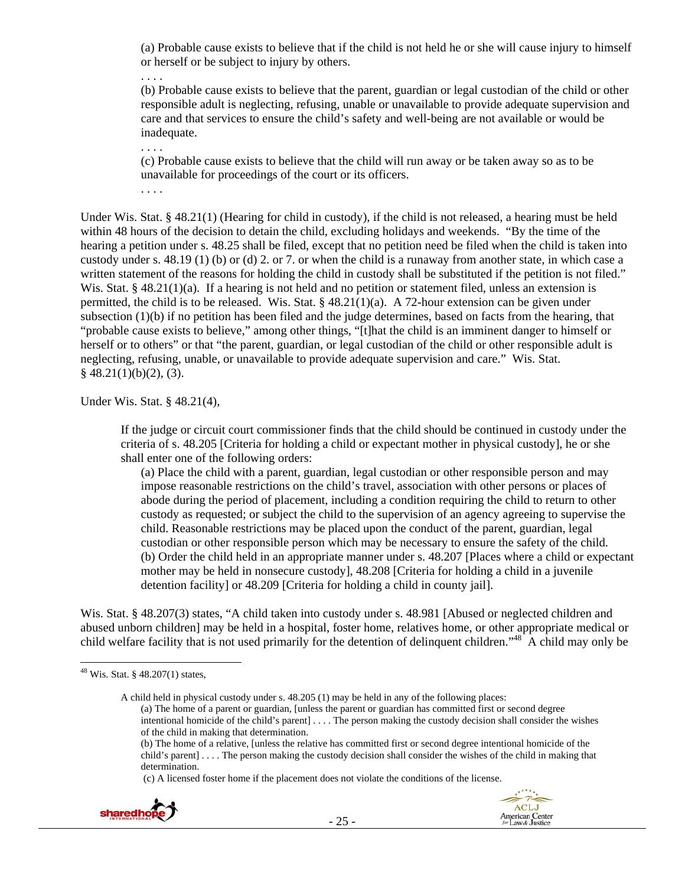(a) Probable cause exists to believe that if the child is not held he or she will cause injury to himself or herself or be subject to injury by others.

. . . . (b) Probable cause exists to believe that the parent, guardian or legal custodian of the child or other responsible adult is neglecting, refusing, unable or unavailable to provide adequate supervision and care and that services to ensure the child's safety and well-being are not available or would be inadequate.

. . . .

(c) Probable cause exists to believe that the child will run away or be taken away so as to be unavailable for proceedings of the court or its officers.

. . . .

Under Wis. Stat. § 48.21(1) (Hearing for child in custody), if the child is not released, a hearing must be held within 48 hours of the decision to detain the child, excluding holidays and weekends. "By the time of the hearing a petition under s. 48.25 shall be filed, except that no petition need be filed when the child is taken into custody under s. 48.19 (1) (b) or (d) 2. or 7. or when the child is a runaway from another state, in which case a written statement of the reasons for holding the child in custody shall be substituted if the petition is not filed." Wis. Stat. §  $48.21(1)(a)$ . If a hearing is not held and no petition or statement filed, unless an extension is permitted, the child is to be released. Wis. Stat. § 48.21(1)(a). A 72-hour extension can be given under subsection (1)(b) if no petition has been filed and the judge determines, based on facts from the hearing, that "probable cause exists to believe," among other things, "[t]hat the child is an imminent danger to himself or herself or to others" or that "the parent, guardian, or legal custodian of the child or other responsible adult is neglecting, refusing, unable, or unavailable to provide adequate supervision and care." Wis. Stat.  $§$  48.21(1)(b)(2), (3).

Under Wis. Stat. § 48.21(4),

If the judge or circuit court commissioner finds that the child should be continued in custody under the criteria of s. 48.205 [Criteria for holding a child or expectant mother in physical custody], he or she shall enter one of the following orders:

(a) Place the child with a parent, guardian, legal custodian or other responsible person and may impose reasonable restrictions on the child's travel, association with other persons or places of abode during the period of placement, including a condition requiring the child to return to other custody as requested; or subject the child to the supervision of an agency agreeing to supervise the child. Reasonable restrictions may be placed upon the conduct of the parent, guardian, legal custodian or other responsible person which may be necessary to ensure the safety of the child. (b) Order the child held in an appropriate manner under s. 48.207 [Places where a child or expectant mother may be held in nonsecure custody], 48.208 [Criteria for holding a child in a juvenile detention facility] or 48.209 [Criteria for holding a child in county jail].

Wis. Stat. § 48.207(3) states, "A child taken into custody under s. 48.981 [Abused or neglected children and abused unborn children] may be held in a hospital, foster home, relatives home, or other appropriate medical or child welfare facility that is not used primarily for the detention of delinquent children." $48^\circ$ A child may only be

(c) A licensed foster home if the placement does not violate the conditions of the license.





<sup>&</sup>lt;sup>48</sup> Wis. Stat. § 48.207(1) states,

A child held in physical custody under s. 48.205 (1) may be held in any of the following places: (a) The home of a parent or guardian, [unless the parent or guardian has committed first or second degree intentional homicide of the child's parent] . . . . The person making the custody decision shall consider the wishes of the child in making that determination.

<sup>(</sup>b) The home of a relative, [unless the relative has committed first or second degree intentional homicide of the child's parent] . . . . The person making the custody decision shall consider the wishes of the child in making that determination.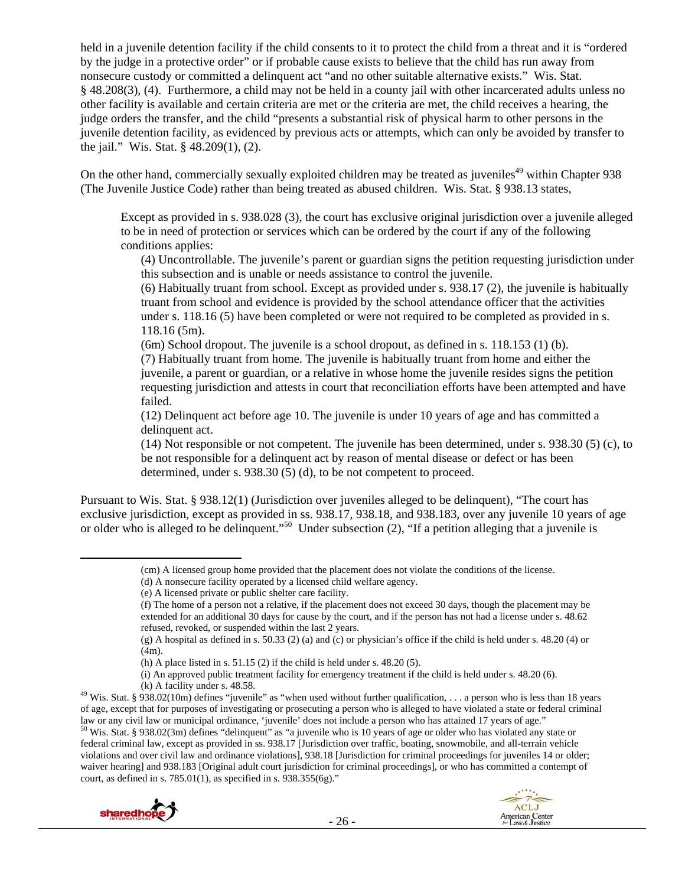held in a juvenile detention facility if the child consents to it to protect the child from a threat and it is "ordered by the judge in a protective order" or if probable cause exists to believe that the child has run away from nonsecure custody or committed a delinquent act "and no other suitable alternative exists." Wis. Stat. § 48.208(3), (4). Furthermore, a child may not be held in a county jail with other incarcerated adults unless no other facility is available and certain criteria are met or the criteria are met, the child receives a hearing, the judge orders the transfer, and the child "presents a substantial risk of physical harm to other persons in the juvenile detention facility, as evidenced by previous acts or attempts, which can only be avoided by transfer to the jail." Wis. Stat. § 48.209(1), (2).

On the other hand, commercially sexually exploited children may be treated as juveniles<sup>49</sup> within Chapter 938 (The Juvenile Justice Code) rather than being treated as abused children. Wis. Stat. § 938.13 states,

Except as provided in s. 938.028 (3), the court has exclusive original jurisdiction over a juvenile alleged to be in need of protection or services which can be ordered by the court if any of the following conditions applies:

(4) Uncontrollable. The juvenile's parent or guardian signs the petition requesting jurisdiction under this subsection and is unable or needs assistance to control the juvenile.

(6) Habitually truant from school. Except as provided under s. 938.17 (2), the juvenile is habitually truant from school and evidence is provided by the school attendance officer that the activities under s. 118.16 (5) have been completed or were not required to be completed as provided in s. 118.16 (5m).

(6m) School dropout. The juvenile is a school dropout, as defined in s. 118.153 (1) (b). (7) Habitually truant from home. The juvenile is habitually truant from home and either the juvenile, a parent or guardian, or a relative in whose home the juvenile resides signs the petition requesting jurisdiction and attests in court that reconciliation efforts have been attempted and have failed.

(12) Delinquent act before age 10. The juvenile is under 10 years of age and has committed a delinquent act.

(14) Not responsible or not competent. The juvenile has been determined, under s. 938.30 (5) (c), to be not responsible for a delinquent act by reason of mental disease or defect or has been determined, under s. 938.30 (5) (d), to be not competent to proceed.

Pursuant to Wis. Stat. § 938.12(1) (Jurisdiction over juveniles alleged to be delinquent), "The court has exclusive jurisdiction, except as provided in ss. 938.17, 938.18, and 938.183, over any juvenile 10 years of age or older who is alleged to be delinquent."<sup>50</sup> Under subsection (2), "If a petition alleging that a juvenile is

federal criminal law, except as provided in ss. 938.17 [Jurisdiction over traffic, boating, snowmobile, and all-terrain vehicle violations and over civil law and ordinance violations], 938.18 [Jurisdiction for criminal proceedings for juveniles 14 or older; waiver hearing] and 938.183 [Original adult court jurisdiction for criminal proceedings], or who has committed a contempt of court, as defined in s. 785.01(1), as specified in s. 938.355(6g)."





 (cm) A licensed group home provided that the placement does not violate the conditions of the license.

<sup>(</sup>d) A nonsecure facility operated by a licensed child welfare agency.

<sup>(</sup>e) A licensed private or public shelter care facility.

<sup>(</sup>f) The home of a person not a relative, if the placement does not exceed 30 days, though the placement may be extended for an additional 30 days for cause by the court, and if the person has not had a license under s. 48.62 refused, revoked, or suspended within the last 2 years.

<sup>(</sup>g) A hospital as defined in s. 50.33 (2) (a) and (c) or physician's office if the child is held under s. 48.20 (4) or (4m).

<sup>(</sup>h) A place listed in s.  $51.15$  (2) if the child is held under s.  $48.20$  (5).

<sup>(</sup>i) An approved public treatment facility for emergency treatment if the child is held under s. 48.20 (6).

<sup>(</sup>k) A facility under s. 48.58.<br><sup>49</sup> Wis. Stat. § 938.02(10m) defines "juvenile" as "when used without further qualification, . . . a person who is less than 18 years of age, except that for purposes of investigating or prosecuting a person who is alleged to have violated a state or federal criminal law or any civil law or municipal ordinance, 'juvenile' does not include a person who has attained 17 years of age."<br><sup>50</sup> Wis. Stat. § 938.02(3m) defines "delinquent" as "a juvenile who is 10 years of age or older who has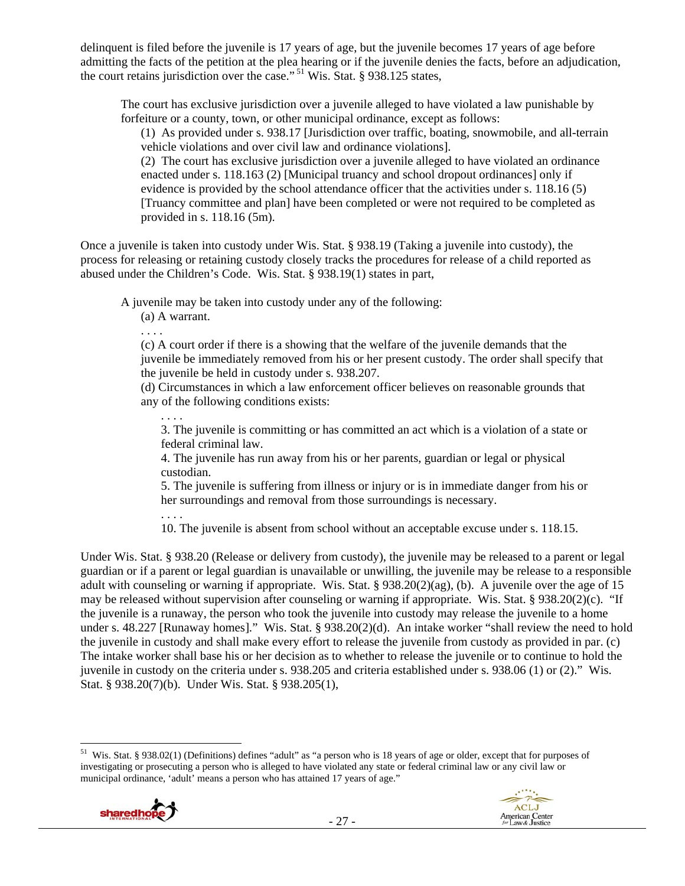delinquent is filed before the juvenile is 17 years of age, but the juvenile becomes 17 years of age before admitting the facts of the petition at the plea hearing or if the juvenile denies the facts, before an adjudication, the court retains jurisdiction over the case."<sup>51</sup> Wis. Stat. § 938.125 states,

The court has exclusive jurisdiction over a juvenile alleged to have violated a law punishable by forfeiture or a county, town, or other municipal ordinance, except as follows:

(1) As provided under s. 938.17 [Jurisdiction over traffic, boating, snowmobile, and all-terrain vehicle violations and over civil law and ordinance violations].

(2) The court has exclusive jurisdiction over a juvenile alleged to have violated an ordinance enacted under s. 118.163 (2) [Municipal truancy and school dropout ordinances] only if evidence is provided by the school attendance officer that the activities under s. 118.16 (5) [Truancy committee and plan] have been completed or were not required to be completed as provided in s. 118.16 (5m).

Once a juvenile is taken into custody under Wis. Stat. § 938.19 (Taking a juvenile into custody), the process for releasing or retaining custody closely tracks the procedures for release of a child reported as abused under the Children's Code. Wis. Stat. § 938.19(1) states in part,

A juvenile may be taken into custody under any of the following:

(a) A warrant.

. . . .

(c) A court order if there is a showing that the welfare of the juvenile demands that the juvenile be immediately removed from his or her present custody. The order shall specify that the juvenile be held in custody under s. 938.207.

(d) Circumstances in which a law enforcement officer believes on reasonable grounds that any of the following conditions exists:

3. The juvenile is committing or has committed an act which is a violation of a state or federal criminal law.

4. The juvenile has run away from his or her parents, guardian or legal or physical custodian.

5. The juvenile is suffering from illness or injury or is in immediate danger from his or her surroundings and removal from those surroundings is necessary.

. . . .

. . . .

10. The juvenile is absent from school without an acceptable excuse under s. 118.15.

Under Wis. Stat. § 938.20 (Release or delivery from custody), the juvenile may be released to a parent or legal guardian or if a parent or legal guardian is unavailable or unwilling, the juvenile may be release to a responsible adult with counseling or warning if appropriate. Wis. Stat. § 938.20(2)(ag), (b). A juvenile over the age of 15 may be released without supervision after counseling or warning if appropriate. Wis. Stat. § 938.20(2)(c). "If the juvenile is a runaway, the person who took the juvenile into custody may release the juvenile to a home under s. 48.227 [Runaway homes]." Wis. Stat. § 938.20(2)(d). An intake worker "shall review the need to hold the juvenile in custody and shall make every effort to release the juvenile from custody as provided in par. (c) The intake worker shall base his or her decision as to whether to release the juvenile or to continue to hold the juvenile in custody on the criteria under s. 938.205 and criteria established under s. 938.06 (1) or (2)." Wis. Stat. § 938.20(7)(b). Under Wis. Stat. § 938.205(1),

 <sup>51</sup> Wis. Stat. § 938.02(1) (Definitions) defines "adult" as "a person who is 18 years of age or older, except that for purposes of investigating or prosecuting a person who is alleged to have violated any state or federal criminal law or any civil law or municipal ordinance, 'adult' means a person who has attained 17 years of age."

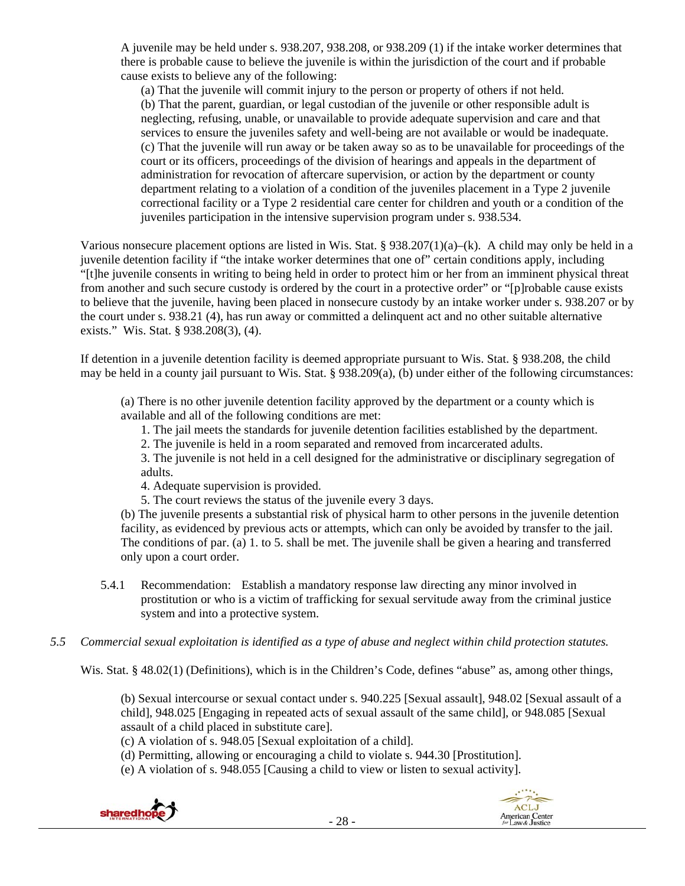A juvenile may be held under s. 938.207, 938.208, or 938.209 (1) if the intake worker determines that there is probable cause to believe the juvenile is within the jurisdiction of the court and if probable cause exists to believe any of the following:

(a) That the juvenile will commit injury to the person or property of others if not held. (b) That the parent, guardian, or legal custodian of the juvenile or other responsible adult is neglecting, refusing, unable, or unavailable to provide adequate supervision and care and that services to ensure the juveniles safety and well-being are not available or would be inadequate. (c) That the juvenile will run away or be taken away so as to be unavailable for proceedings of the court or its officers, proceedings of the division of hearings and appeals in the department of administration for revocation of aftercare supervision, or action by the department or county department relating to a violation of a condition of the juveniles placement in a Type 2 juvenile correctional facility or a Type 2 residential care center for children and youth or a condition of the juveniles participation in the intensive supervision program under s. 938.534.

Various nonsecure placement options are listed in Wis. Stat. §  $938.207(1)(a)–(k)$ . A child may only be held in a juvenile detention facility if "the intake worker determines that one of" certain conditions apply, including "[t]he juvenile consents in writing to being held in order to protect him or her from an imminent physical threat from another and such secure custody is ordered by the court in a protective order" or "[p]robable cause exists to believe that the juvenile, having been placed in nonsecure custody by an intake worker under s. 938.207 or by the court under s. 938.21 (4), has run away or committed a delinquent act and no other suitable alternative exists." Wis. Stat. § 938.208(3), (4).

If detention in a juvenile detention facility is deemed appropriate pursuant to Wis. Stat. § 938.208, the child may be held in a county jail pursuant to Wis. Stat. § 938.209(a), (b) under either of the following circumstances:

(a) There is no other juvenile detention facility approved by the department or a county which is available and all of the following conditions are met:

1. The jail meets the standards for juvenile detention facilities established by the department.

2. The juvenile is held in a room separated and removed from incarcerated adults.

3. The juvenile is not held in a cell designed for the administrative or disciplinary segregation of adults.

4. Adequate supervision is provided.

5. The court reviews the status of the juvenile every 3 days.

(b) The juvenile presents a substantial risk of physical harm to other persons in the juvenile detention facility, as evidenced by previous acts or attempts, which can only be avoided by transfer to the jail. The conditions of par. (a) 1. to 5. shall be met. The juvenile shall be given a hearing and transferred only upon a court order.

- 5.4.1 Recommendation: Establish a mandatory response law directing any minor involved in prostitution or who is a victim of trafficking for sexual servitude away from the criminal justice system and into a protective system.
- *5.5 Commercial sexual exploitation is identified as a type of abuse and neglect within child protection statutes.*

Wis. Stat. § 48.02(1) (Definitions), which is in the Children's Code, defines "abuse" as, among other things,

(b) Sexual intercourse or sexual contact under s. 940.225 [Sexual assault], 948.02 [Sexual assault of a child], 948.025 [Engaging in repeated acts of sexual assault of the same child], or 948.085 [Sexual assault of a child placed in substitute care].

(c) A violation of s. 948.05 [Sexual exploitation of a child].

(d) Permitting, allowing or encouraging a child to violate s. 944.30 [Prostitution].

(e) A violation of s. 948.055 [Causing a child to view or listen to sexual activity].



ACLJ

American Center<br>for Law & Justice

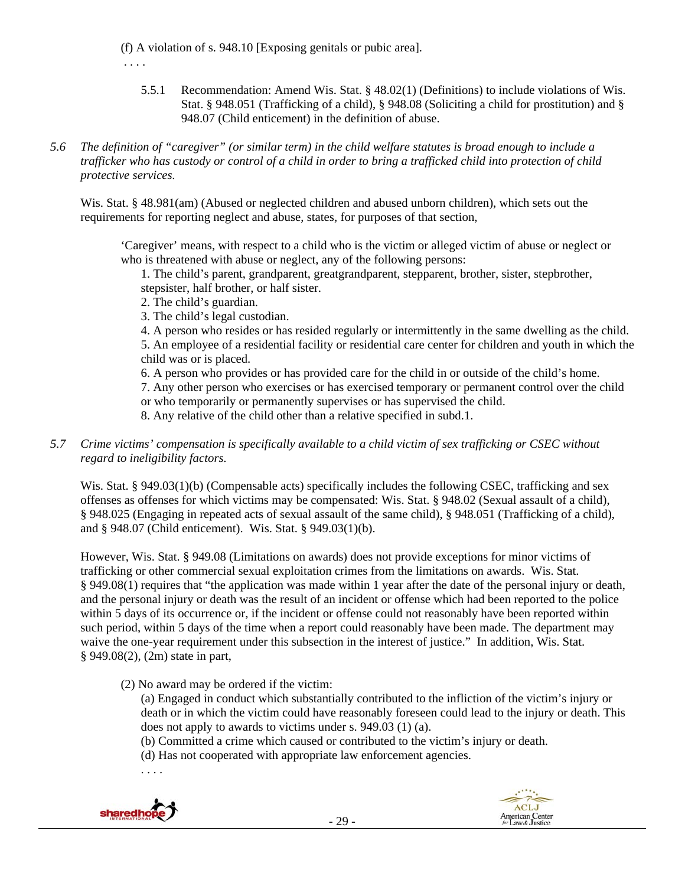(f) A violation of s. 948.10 [Exposing genitals or pubic area].

- . . . .
	- 5.5.1 Recommendation: Amend Wis. Stat. § 48.02(1) (Definitions) to include violations of Wis. Stat. § 948.051 (Trafficking of a child), § 948.08 (Soliciting a child for prostitution) and § 948.07 (Child enticement) in the definition of abuse.
- *5.6 The definition of "caregiver" (or similar term) in the child welfare statutes is broad enough to include a trafficker who has custody or control of a child in order to bring a trafficked child into protection of child protective services.*

Wis. Stat. § 48.981(am) (Abused or neglected children and abused unborn children), which sets out the requirements for reporting neglect and abuse, states, for purposes of that section,

'Caregiver' means, with respect to a child who is the victim or alleged victim of abuse or neglect or who is threatened with abuse or neglect, any of the following persons:

1. The child's parent, grandparent, greatgrandparent, stepparent, brother, sister, stepbrother, stepsister, half brother, or half sister.

- 2. The child's guardian.
- 3. The child's legal custodian.

4. A person who resides or has resided regularly or intermittently in the same dwelling as the child.

5. An employee of a residential facility or residential care center for children and youth in which the child was or is placed.

6. A person who provides or has provided care for the child in or outside of the child's home.

7. Any other person who exercises or has exercised temporary or permanent control over the child or who temporarily or permanently supervises or has supervised the child.

8. Any relative of the child other than a relative specified in subd.1.

*5.7 Crime victims' compensation is specifically available to a child victim of sex trafficking or CSEC without regard to ineligibility factors.* 

Wis. Stat. § 949.03(1)(b) (Compensable acts) specifically includes the following CSEC, trafficking and sex offenses as offenses for which victims may be compensated: Wis. Stat. § 948.02 (Sexual assault of a child), § 948.025 (Engaging in repeated acts of sexual assault of the same child), § 948.051 (Trafficking of a child), and § 948.07 (Child enticement). Wis. Stat. § 949.03(1)(b).

However, Wis. Stat. § 949.08 (Limitations on awards) does not provide exceptions for minor victims of trafficking or other commercial sexual exploitation crimes from the limitations on awards. Wis. Stat. § 949.08(1) requires that "the application was made within 1 year after the date of the personal injury or death, and the personal injury or death was the result of an incident or offense which had been reported to the police within 5 days of its occurrence or, if the incident or offense could not reasonably have been reported within such period, within 5 days of the time when a report could reasonably have been made. The department may waive the one-year requirement under this subsection in the interest of justice." In addition, Wis. Stat. § 949.08(2), (2m) state in part,

(2) No award may be ordered if the victim:

(a) Engaged in conduct which substantially contributed to the infliction of the victim's injury or death or in which the victim could have reasonably foreseen could lead to the injury or death. This does not apply to awards to victims under s. 949.03 (1) (a).

(b) Committed a crime which caused or contributed to the victim's injury or death.

(d) Has not cooperated with appropriate law enforcement agencies.

. . . .



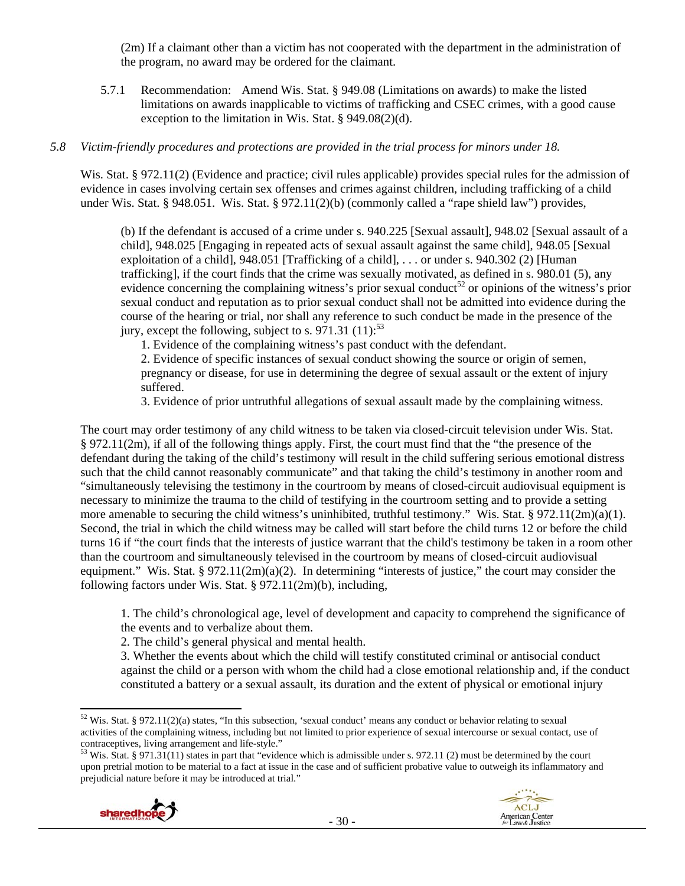(2m) If a claimant other than a victim has not cooperated with the department in the administration of the program, no award may be ordered for the claimant.

5.7.1 Recommendation: Amend Wis. Stat. § 949.08 (Limitations on awards) to make the listed limitations on awards inapplicable to victims of trafficking and CSEC crimes, with a good cause exception to the limitation in Wis. Stat. § 949.08(2)(d).

#### *5.8 Victim-friendly procedures and protections are provided in the trial process for minors under 18.*

Wis. Stat. § 972.11(2) (Evidence and practice; civil rules applicable) provides special rules for the admission of evidence in cases involving certain sex offenses and crimes against children, including trafficking of a child under Wis. Stat. § 948.051. Wis. Stat. § 972.11(2)(b) (commonly called a "rape shield law") provides,

(b) If the defendant is accused of a crime under s. 940.225 [Sexual assault], 948.02 [Sexual assault of a child], 948.025 [Engaging in repeated acts of sexual assault against the same child], 948.05 [Sexual exploitation of a child], 948.051 [Trafficking of a child], . . . or under s. 940.302 (2) [Human trafficking], if the court finds that the crime was sexually motivated, as defined in s. 980.01 (5), any evidence concerning the complaining witness's prior sexual conduct<sup>52</sup> or opinions of the witness's prior sexual conduct and reputation as to prior sexual conduct shall not be admitted into evidence during the course of the hearing or trial, nor shall any reference to such conduct be made in the presence of the jury, except the following, subject to s. 971.31  $(11)$ :<sup>53</sup>

1. Evidence of the complaining witness's past conduct with the defendant.

2. Evidence of specific instances of sexual conduct showing the source or origin of semen, pregnancy or disease, for use in determining the degree of sexual assault or the extent of injury suffered.

3. Evidence of prior untruthful allegations of sexual assault made by the complaining witness.

The court may order testimony of any child witness to be taken via closed-circuit television under Wis. Stat. § 972.11(2m), if all of the following things apply. First, the court must find that the "the presence of the defendant during the taking of the child's testimony will result in the child suffering serious emotional distress such that the child cannot reasonably communicate" and that taking the child's testimony in another room and "simultaneously televising the testimony in the courtroom by means of closed-circuit audiovisual equipment is necessary to minimize the trauma to the child of testifying in the courtroom setting and to provide a setting more amenable to securing the child witness's uninhibited, truthful testimony." Wis. Stat. § 972.11(2m)(a)(1). Second, the trial in which the child witness may be called will start before the child turns 12 or before the child turns 16 if "the court finds that the interests of justice warrant that the child's testimony be taken in a room other than the courtroom and simultaneously televised in the courtroom by means of closed-circuit audiovisual equipment." Wis. Stat. § 972.11(2m)(a)(2). In determining "interests of justice," the court may consider the following factors under Wis. Stat. § 972.11(2m)(b), including,

1. The child's chronological age, level of development and capacity to comprehend the significance of the events and to verbalize about them.

2. The child's general physical and mental health.

3. Whether the events about which the child will testify constituted criminal or antisocial conduct against the child or a person with whom the child had a close emotional relationship and, if the conduct constituted a battery or a sexual assault, its duration and the extent of physical or emotional injury

<sup>&</sup>lt;sup>53</sup> Wis. Stat. § 971.31(11) states in part that "evidence which is admissible under s. 972.11 (2) must be determined by the court upon pretrial motion to be material to a fact at issue in the case and of sufficient probative value to outweigh its inflammatory and prejudicial nature before it may be introduced at trial."



 $52$  Wis. Stat. § 972.11(2)(a) states, "In this subsection, 'sexual conduct' means any conduct or behavior relating to sexual activities of the complaining witness, including but not limited to prior experience of sexual intercourse or sexual contact, use of contraceptives, living arrangement and life-style."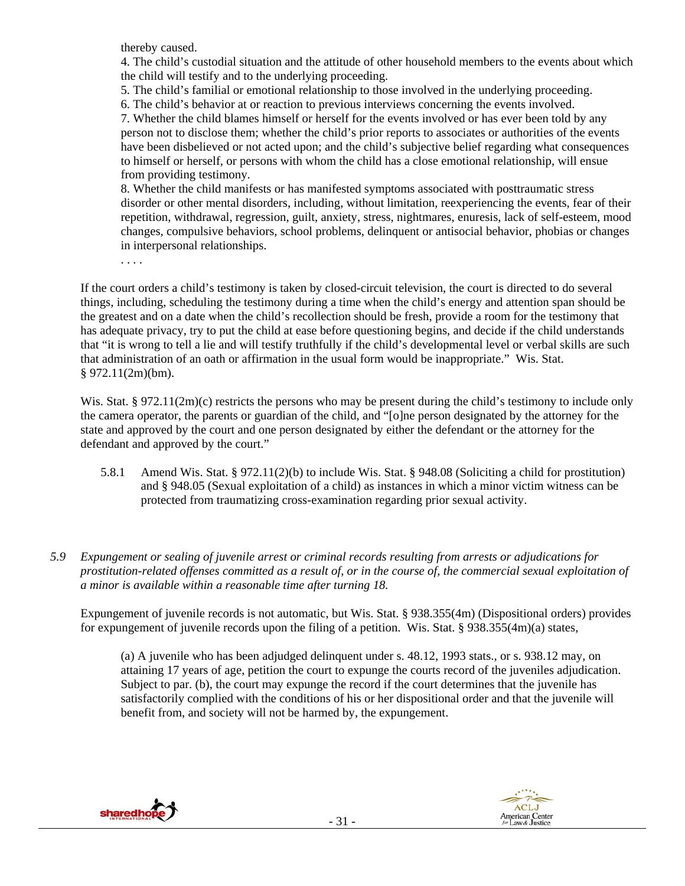thereby caused.

4. The child's custodial situation and the attitude of other household members to the events about which the child will testify and to the underlying proceeding.

5. The child's familial or emotional relationship to those involved in the underlying proceeding. 6. The child's behavior at or reaction to previous interviews concerning the events involved.

7. Whether the child blames himself or herself for the events involved or has ever been told by any person not to disclose them; whether the child's prior reports to associates or authorities of the events have been disbelieved or not acted upon; and the child's subjective belief regarding what consequences to himself or herself, or persons with whom the child has a close emotional relationship, will ensue from providing testimony.

8. Whether the child manifests or has manifested symptoms associated with posttraumatic stress disorder or other mental disorders, including, without limitation, reexperiencing the events, fear of their repetition, withdrawal, regression, guilt, anxiety, stress, nightmares, enuresis, lack of self-esteem, mood changes, compulsive behaviors, school problems, delinquent or antisocial behavior, phobias or changes in interpersonal relationships.

. . . .

If the court orders a child's testimony is taken by closed-circuit television, the court is directed to do several things, including, scheduling the testimony during a time when the child's energy and attention span should be the greatest and on a date when the child's recollection should be fresh, provide a room for the testimony that has adequate privacy, try to put the child at ease before questioning begins, and decide if the child understands that "it is wrong to tell a lie and will testify truthfully if the child's developmental level or verbal skills are such that administration of an oath or affirmation in the usual form would be inappropriate." Wis. Stat. § 972.11(2m)(bm).

Wis. Stat. § 972.11(2m)(c) restricts the persons who may be present during the child's testimony to include only the camera operator, the parents or guardian of the child, and "[o]ne person designated by the attorney for the state and approved by the court and one person designated by either the defendant or the attorney for the defendant and approved by the court."

- 5.8.1 Amend Wis. Stat. § 972.11(2)(b) to include Wis. Stat. § 948.08 (Soliciting a child for prostitution) and § 948.05 (Sexual exploitation of a child) as instances in which a minor victim witness can be protected from traumatizing cross-examination regarding prior sexual activity.
- *5.9 Expungement or sealing of juvenile arrest or criminal records resulting from arrests or adjudications for prostitution-related offenses committed as a result of, or in the course of, the commercial sexual exploitation of a minor is available within a reasonable time after turning 18.*

Expungement of juvenile records is not automatic, but Wis. Stat. § 938.355(4m) (Dispositional orders) provides for expungement of juvenile records upon the filing of a petition. Wis. Stat. § 938.355(4m)(a) states,

(a) A juvenile who has been adjudged delinquent under s. 48.12, 1993 stats., or s. 938.12 may, on attaining 17 years of age, petition the court to expunge the courts record of the juveniles adjudication. Subject to par. (b), the court may expunge the record if the court determines that the juvenile has satisfactorily complied with the conditions of his or her dispositional order and that the juvenile will benefit from, and society will not be harmed by, the expungement.



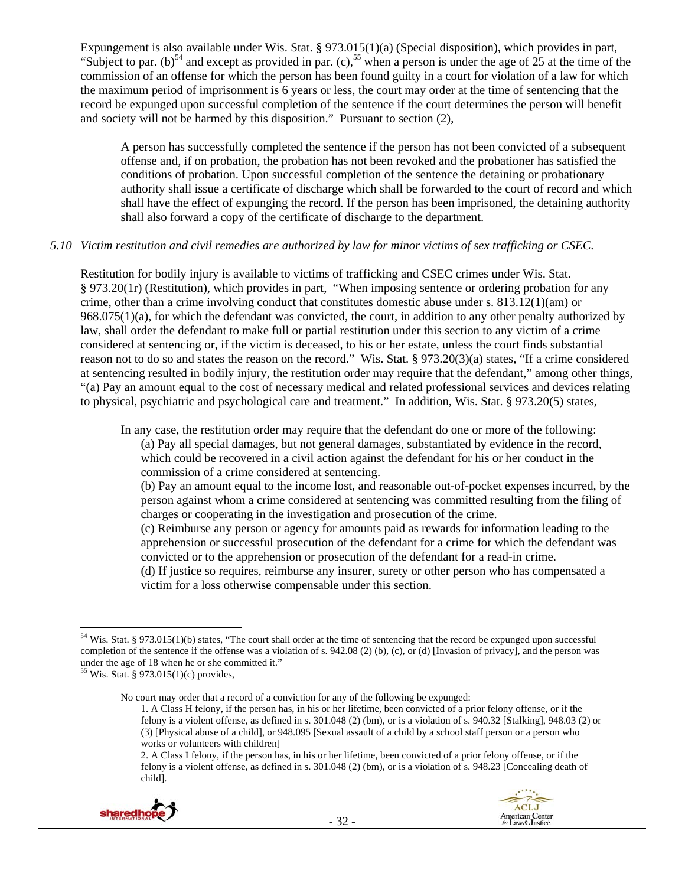Expungement is also available under Wis. Stat. § 973.015(1)(a) (Special disposition), which provides in part, "Subject to par. (b)<sup>54</sup> and except as provided in par. (c),<sup>55</sup> when a person is under the age of  $25$  at the time of the commission of an offense for which the person has been found guilty in a court for violation of a law for which the maximum period of imprisonment is 6 years or less, the court may order at the time of sentencing that the record be expunged upon successful completion of the sentence if the court determines the person will benefit and society will not be harmed by this disposition." Pursuant to section (2),

A person has successfully completed the sentence if the person has not been convicted of a subsequent offense and, if on probation, the probation has not been revoked and the probationer has satisfied the conditions of probation. Upon successful completion of the sentence the detaining or probationary authority shall issue a certificate of discharge which shall be forwarded to the court of record and which shall have the effect of expunging the record. If the person has been imprisoned, the detaining authority shall also forward a copy of the certificate of discharge to the department.

#### *5.10 Victim restitution and civil remedies are authorized by law for minor victims of sex trafficking or CSEC.*

Restitution for bodily injury is available to victims of trafficking and CSEC crimes under Wis. Stat. § 973.20(1r) (Restitution), which provides in part, "When imposing sentence or ordering probation for any crime, other than a crime involving conduct that constitutes domestic abuse under s. 813.12(1)(am) or 968.075(1)(a), for which the defendant was convicted, the court, in addition to any other penalty authorized by law, shall order the defendant to make full or partial restitution under this section to any victim of a crime considered at sentencing or, if the victim is deceased, to his or her estate, unless the court finds substantial reason not to do so and states the reason on the record." Wis. Stat. § 973.20(3)(a) states, "If a crime considered at sentencing resulted in bodily injury, the restitution order may require that the defendant," among other things, "(a) Pay an amount equal to the cost of necessary medical and related professional services and devices relating to physical, psychiatric and psychological care and treatment." In addition, Wis. Stat. § 973.20(5) states,

In any case, the restitution order may require that the defendant do one or more of the following:

(a) Pay all special damages, but not general damages, substantiated by evidence in the record, which could be recovered in a civil action against the defendant for his or her conduct in the commission of a crime considered at sentencing.

(b) Pay an amount equal to the income lost, and reasonable out-of-pocket expenses incurred, by the person against whom a crime considered at sentencing was committed resulting from the filing of charges or cooperating in the investigation and prosecution of the crime.

(c) Reimburse any person or agency for amounts paid as rewards for information leading to the apprehension or successful prosecution of the defendant for a crime for which the defendant was convicted or to the apprehension or prosecution of the defendant for a read-in crime.

(d) If justice so requires, reimburse any insurer, surety or other person who has compensated a victim for a loss otherwise compensable under this section.

<sup>2.</sup> A Class I felony, if the person has, in his or her lifetime, been convicted of a prior felony offense, or if the felony is a violent offense, as defined in s. 301.048 (2) (bm), or is a violation of s. 948.23 [Concealing death of child].



<sup>54</sup> Wis. Stat. § 973.015(1)(b) states, "The court shall order at the time of sentencing that the record be expunged upon successful completion of the sentence if the offense was a violation of s. 942.08 (2) (b), (c), or (d) [Invasion of privacy], and the person was under the age of 18 when he or she committed it."

<sup>55</sup> Wis. Stat. § 973.015(1)(c) provides,

No court may order that a record of a conviction for any of the following be expunged:

<sup>1.</sup> A Class H felony, if the person has, in his or her lifetime, been convicted of a prior felony offense, or if the felony is a violent offense, as defined in s. 301.048 (2) (bm), or is a violation of s. 940.32 [Stalking], 948.03 (2) or (3) [Physical abuse of a child], or 948.095 [Sexual assault of a child by a school staff person or a person who works or volunteers with children]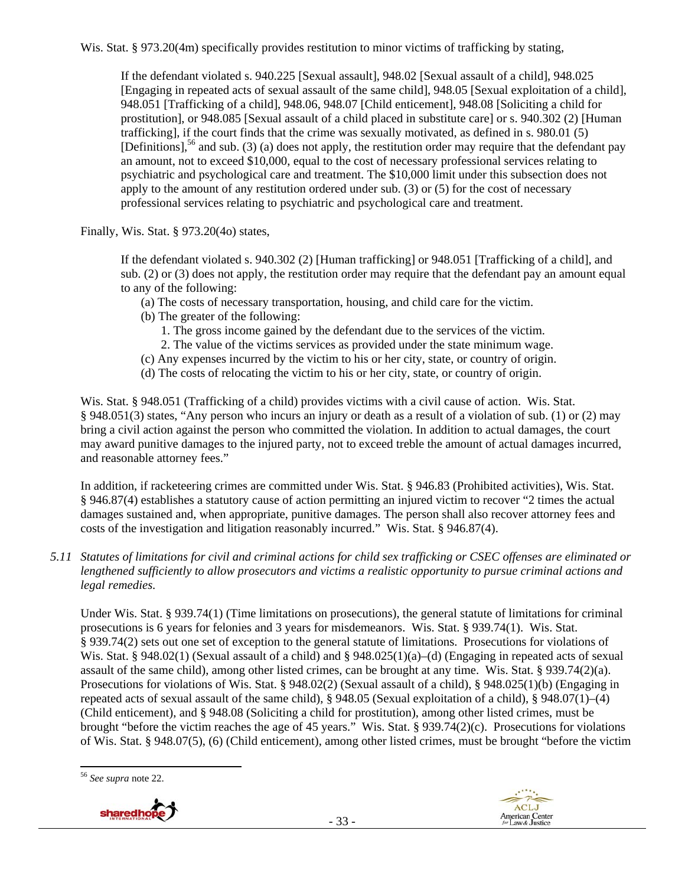Wis. Stat. § 973.20(4m) specifically provides restitution to minor victims of trafficking by stating,

If the defendant violated s. 940.225 [Sexual assault], 948.02 [Sexual assault of a child], 948.025 [Engaging in repeated acts of sexual assault of the same child], 948.05 [Sexual exploitation of a child], 948.051 [Trafficking of a child], 948.06, 948.07 [Child enticement], 948.08 [Soliciting a child for prostitution], or 948.085 [Sexual assault of a child placed in substitute care] or s. 940.302 (2) [Human trafficking], if the court finds that the crime was sexually motivated, as defined in s. 980.01 (5) [Definitions],<sup>56</sup> and sub. (3) (a) does not apply, the restitution order may require that the defendant pay an amount, not to exceed \$10,000, equal to the cost of necessary professional services relating to psychiatric and psychological care and treatment. The \$10,000 limit under this subsection does not apply to the amount of any restitution ordered under sub. (3) or (5) for the cost of necessary professional services relating to psychiatric and psychological care and treatment.

Finally, Wis. Stat. § 973.20(4o) states,

If the defendant violated s. 940.302 (2) [Human trafficking] or 948.051 [Trafficking of a child], and sub. (2) or (3) does not apply, the restitution order may require that the defendant pay an amount equal to any of the following:

- (a) The costs of necessary transportation, housing, and child care for the victim.
- (b) The greater of the following:
	- 1. The gross income gained by the defendant due to the services of the victim.
	- 2. The value of the victims services as provided under the state minimum wage.
- (c) Any expenses incurred by the victim to his or her city, state, or country of origin.
- (d) The costs of relocating the victim to his or her city, state, or country of origin.

Wis. Stat. § 948.051 (Trafficking of a child) provides victims with a civil cause of action. Wis. Stat. § 948.051(3) states, "Any person who incurs an injury or death as a result of a violation of sub. (1) or (2) may bring a civil action against the person who committed the violation. In addition to actual damages, the court may award punitive damages to the injured party, not to exceed treble the amount of actual damages incurred, and reasonable attorney fees."

In addition, if racketeering crimes are committed under Wis. Stat. § 946.83 (Prohibited activities), Wis. Stat. § 946.87(4) establishes a statutory cause of action permitting an injured victim to recover "2 times the actual damages sustained and, when appropriate, punitive damages. The person shall also recover attorney fees and costs of the investigation and litigation reasonably incurred." Wis. Stat. § 946.87(4).

*5.11 Statutes of limitations for civil and criminal actions for child sex trafficking or CSEC offenses are eliminated or lengthened sufficiently to allow prosecutors and victims a realistic opportunity to pursue criminal actions and legal remedies.* 

Under Wis. Stat. § 939.74(1) (Time limitations on prosecutions), the general statute of limitations for criminal prosecutions is 6 years for felonies and 3 years for misdemeanors. Wis. Stat. § 939.74(1). Wis. Stat. § 939.74(2) sets out one set of exception to the general statute of limitations. Prosecutions for violations of Wis. Stat. § 948.02(1) (Sexual assault of a child) and § 948.025(1)(a)–(d) (Engaging in repeated acts of sexual assault of the same child), among other listed crimes, can be brought at any time. Wis. Stat. § 939.74(2)(a). Prosecutions for violations of Wis. Stat. § 948.02(2) (Sexual assault of a child), § 948.025(1)(b) (Engaging in repeated acts of sexual assault of the same child), § 948.05 (Sexual exploitation of a child), § 948.07(1)–(4) (Child enticement), and § 948.08 (Soliciting a child for prostitution), among other listed crimes, must be brought "before the victim reaches the age of 45 years." Wis. Stat. § 939.74(2)(c). Prosecutions for violations of Wis. Stat. § 948.07(5), (6) (Child enticement), among other listed crimes, must be brought "before the victim

 <sup>56</sup> *See supra* note 22.



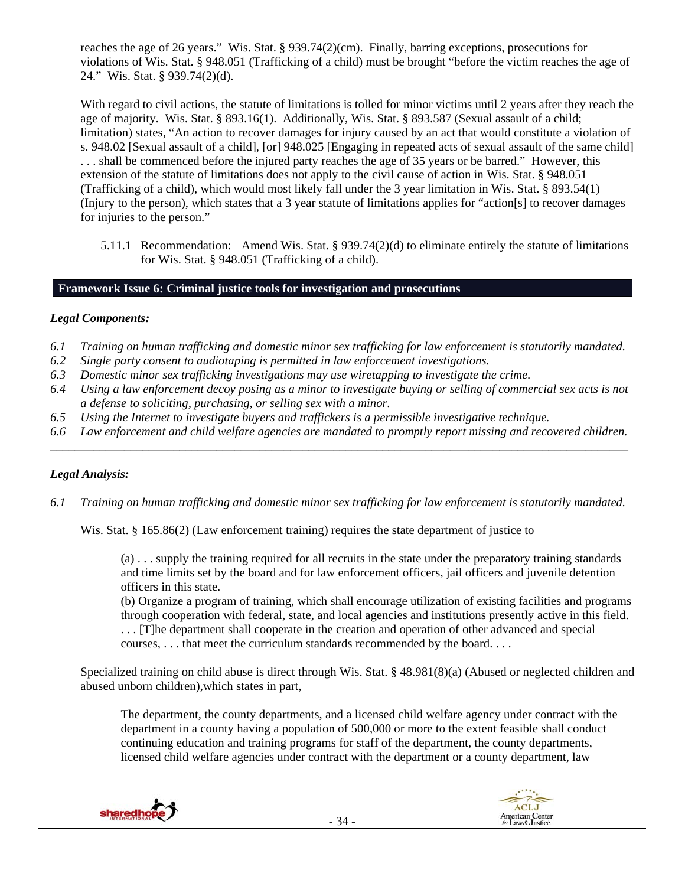reaches the age of 26 years." Wis. Stat. § 939.74(2)(cm). Finally, barring exceptions, prosecutions for violations of Wis. Stat. § 948.051 (Trafficking of a child) must be brought "before the victim reaches the age of 24." Wis. Stat. § 939.74(2)(d).

With regard to civil actions, the statute of limitations is tolled for minor victims until 2 years after they reach the age of majority. Wis. Stat. § 893.16(1). Additionally, Wis. Stat. § 893.587 (Sexual assault of a child; limitation) states, "An action to recover damages for injury caused by an act that would constitute a violation of s. 948.02 [Sexual assault of a child], [or] 948.025 [Engaging in repeated acts of sexual assault of the same child] . . . shall be commenced before the injured party reaches the age of 35 years or be barred." However, this extension of the statute of limitations does not apply to the civil cause of action in Wis. Stat. § 948.051 (Trafficking of a child), which would most likely fall under the 3 year limitation in Wis. Stat. § 893.54(1) (Injury to the person), which states that a 3 year statute of limitations applies for "action[s] to recover damages for injuries to the person."

5.11.1 Recommendation: Amend Wis. Stat. § 939.74(2)(d) to eliminate entirely the statute of limitations for Wis. Stat. § 948.051 (Trafficking of a child).

# **Framework Issue 6: Criminal justice tools for investigation and prosecutions**

#### *Legal Components:*

- *6.1 Training on human trafficking and domestic minor sex trafficking for law enforcement is statutorily mandated.*
- *6.2 Single party consent to audiotaping is permitted in law enforcement investigations.*
- *6.3 Domestic minor sex trafficking investigations may use wiretapping to investigate the crime.*
- *6.4 Using a law enforcement decoy posing as a minor to investigate buying or selling of commercial sex acts is not a defense to soliciting, purchasing, or selling sex with a minor.*
- *6.5 Using the Internet to investigate buyers and traffickers is a permissible investigative technique.*
- *6.6 Law enforcement and child welfare agencies are mandated to promptly report missing and recovered children. \_\_\_\_\_\_\_\_\_\_\_\_\_\_\_\_\_\_\_\_\_\_\_\_\_\_\_\_\_\_\_\_\_\_\_\_\_\_\_\_\_\_\_\_\_\_\_\_\_\_\_\_\_\_\_\_\_\_\_\_\_\_\_\_\_\_\_\_\_\_\_\_\_\_\_\_\_\_\_\_\_\_\_\_\_\_\_\_\_\_\_\_\_\_*

# *Legal Analysis:*

*6.1 Training on human trafficking and domestic minor sex trafficking for law enforcement is statutorily mandated.* 

Wis. Stat. § 165.86(2) (Law enforcement training) requires the state department of justice to

(a) . . . supply the training required for all recruits in the state under the preparatory training standards and time limits set by the board and for law enforcement officers, jail officers and juvenile detention officers in this state.

(b) Organize a program of training, which shall encourage utilization of existing facilities and programs through cooperation with federal, state, and local agencies and institutions presently active in this field. . . . [T]he department shall cooperate in the creation and operation of other advanced and special

courses, . . . that meet the curriculum standards recommended by the board. . . .

Specialized training on child abuse is direct through Wis. Stat. § 48.981(8)(a) (Abused or neglected children and abused unborn children),which states in part,

The department, the county departments, and a licensed child welfare agency under contract with the department in a county having a population of 500,000 or more to the extent feasible shall conduct continuing education and training programs for staff of the department, the county departments, licensed child welfare agencies under contract with the department or a county department, law

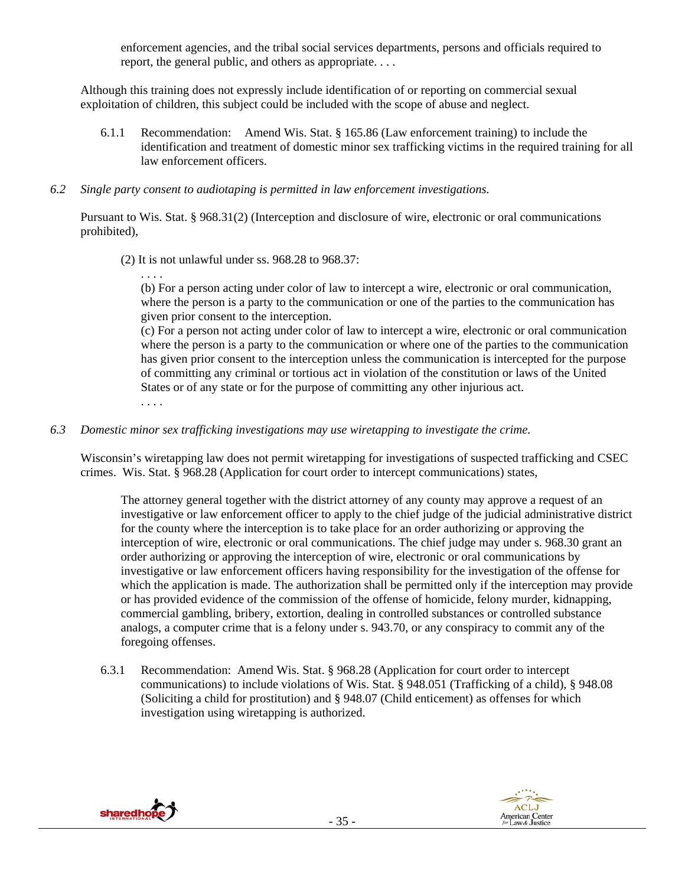enforcement agencies, and the tribal social services departments, persons and officials required to report, the general public, and others as appropriate. . . .

Although this training does not expressly include identification of or reporting on commercial sexual exploitation of children, this subject could be included with the scope of abuse and neglect.

- 6.1.1 Recommendation: Amend Wis. Stat. § 165.86 (Law enforcement training) to include the identification and treatment of domestic minor sex trafficking victims in the required training for all law enforcement officers.
- *6.2 Single party consent to audiotaping is permitted in law enforcement investigations.*

Pursuant to Wis. Stat. § 968.31(2) (Interception and disclosure of wire, electronic or oral communications prohibited),

- (2) It is not unlawful under ss. 968.28 to 968.37:
	- . . . .

(b) For a person acting under color of law to intercept a wire, electronic or oral communication, where the person is a party to the communication or one of the parties to the communication has given prior consent to the interception.

(c) For a person not acting under color of law to intercept a wire, electronic or oral communication where the person is a party to the communication or where one of the parties to the communication has given prior consent to the interception unless the communication is intercepted for the purpose of committing any criminal or tortious act in violation of the constitution or laws of the United States or of any state or for the purpose of committing any other injurious act. . . . .

*6.3 Domestic minor sex trafficking investigations may use wiretapping to investigate the crime.* 

Wisconsin's wiretapping law does not permit wiretapping for investigations of suspected trafficking and CSEC crimes. Wis. Stat. § 968.28 (Application for court order to intercept communications) states,

The attorney general together with the district attorney of any county may approve a request of an investigative or law enforcement officer to apply to the chief judge of the judicial administrative district for the county where the interception is to take place for an order authorizing or approving the interception of wire, electronic or oral communications. The chief judge may under s. 968.30 grant an order authorizing or approving the interception of wire, electronic or oral communications by investigative or law enforcement officers having responsibility for the investigation of the offense for which the application is made. The authorization shall be permitted only if the interception may provide or has provided evidence of the commission of the offense of homicide, felony murder, kidnapping, commercial gambling, bribery, extortion, dealing in controlled substances or controlled substance analogs, a computer crime that is a felony under s. 943.70, or any conspiracy to commit any of the foregoing offenses.

6.3.1 Recommendation: Amend Wis. Stat. § 968.28 (Application for court order to intercept communications) to include violations of Wis. Stat. § 948.051 (Trafficking of a child), § 948.08 (Soliciting a child for prostitution) and § 948.07 (Child enticement) as offenses for which investigation using wiretapping is authorized.



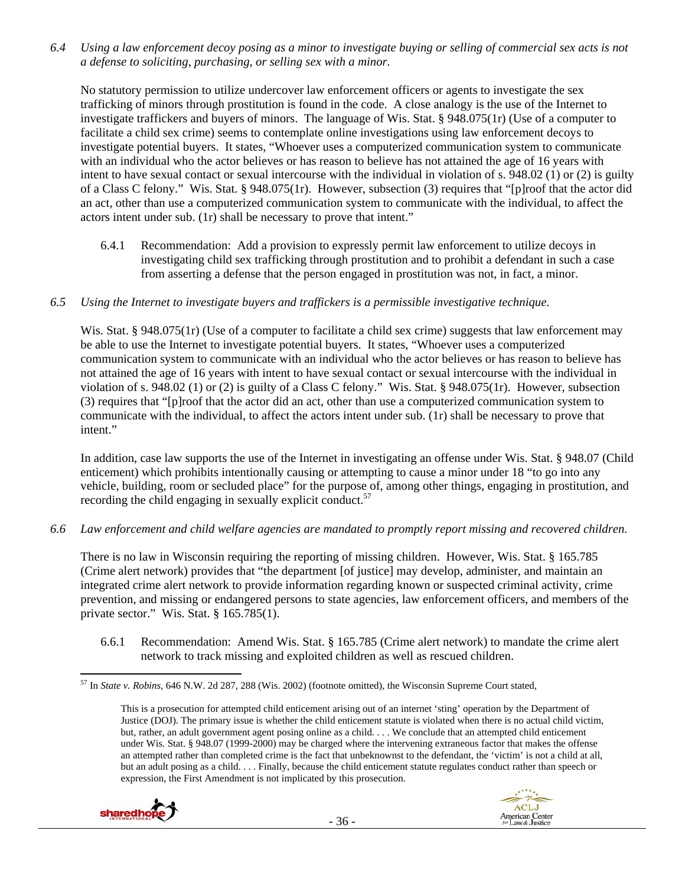*6.4 Using a law enforcement decoy posing as a minor to investigate buying or selling of commercial sex acts is not a defense to soliciting, purchasing, or selling sex with a minor.* 

No statutory permission to utilize undercover law enforcement officers or agents to investigate the sex trafficking of minors through prostitution is found in the code. A close analogy is the use of the Internet to investigate traffickers and buyers of minors. The language of Wis. Stat. § 948.075(1r) (Use of a computer to facilitate a child sex crime) seems to contemplate online investigations using law enforcement decoys to investigate potential buyers. It states, "Whoever uses a computerized communication system to communicate with an individual who the actor believes or has reason to believe has not attained the age of 16 years with intent to have sexual contact or sexual intercourse with the individual in violation of s. 948.02 (1) or (2) is guilty of a Class C felony." Wis. Stat. § 948.075(1r). However, subsection (3) requires that "[p]roof that the actor did an act, other than use a computerized communication system to communicate with the individual, to affect the actors intent under sub. (1r) shall be necessary to prove that intent."

6.4.1 Recommendation: Add a provision to expressly permit law enforcement to utilize decoys in investigating child sex trafficking through prostitution and to prohibit a defendant in such a case from asserting a defense that the person engaged in prostitution was not, in fact, a minor.

#### *6.5 Using the Internet to investigate buyers and traffickers is a permissible investigative technique.*

Wis. Stat. § 948.075(1r) (Use of a computer to facilitate a child sex crime) suggests that law enforcement may be able to use the Internet to investigate potential buyers. It states, "Whoever uses a computerized communication system to communicate with an individual who the actor believes or has reason to believe has not attained the age of 16 years with intent to have sexual contact or sexual intercourse with the individual in violation of s. 948.02 (1) or (2) is guilty of a Class C felony." Wis. Stat. § 948.075(1r). However, subsection (3) requires that "[p]roof that the actor did an act, other than use a computerized communication system to communicate with the individual, to affect the actors intent under sub. (1r) shall be necessary to prove that intent."

In addition, case law supports the use of the Internet in investigating an offense under Wis. Stat. § 948.07 (Child enticement) which prohibits intentionally causing or attempting to cause a minor under 18 "to go into any vehicle, building, room or secluded place" for the purpose of, among other things, engaging in prostitution, and recording the child engaging in sexually explicit conduct.<sup>57</sup>

#### *6.6 Law enforcement and child welfare agencies are mandated to promptly report missing and recovered children.*

There is no law in Wisconsin requiring the reporting of missing children. However, Wis. Stat. § 165.785 (Crime alert network) provides that "the department [of justice] may develop, administer, and maintain an integrated crime alert network to provide information regarding known or suspected criminal activity, crime prevention, and missing or endangered persons to state agencies, law enforcement officers, and members of the private sector." Wis. Stat. § 165.785(1).

6.6.1 Recommendation: Amend Wis. Stat. § 165.785 (Crime alert network) to mandate the crime alert network to track missing and exploited children as well as rescued children.

This is a prosecution for attempted child enticement arising out of an internet 'sting' operation by the Department of Justice (DOJ). The primary issue is whether the child enticement statute is violated when there is no actual child victim, but, rather, an adult government agent posing online as a child. . . . We conclude that an attempted child enticement under Wis. Stat. § 948.07 (1999-2000) may be charged where the intervening extraneous factor that makes the offense an attempted rather than completed crime is the fact that unbeknownst to the defendant, the 'victim' is not a child at all, but an adult posing as a child. . . . Finally, because the child enticement statute regulates conduct rather than speech or expression, the First Amendment is not implicated by this prosecution.





 57 In *State v. Robins*, 646 N.W. 2d 287, 288 (Wis. 2002) (footnote omitted), the Wisconsin Supreme Court stated,